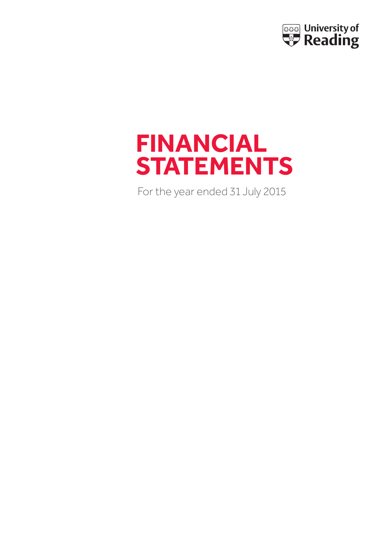

# **FINANCIAL STATEMENTS**

For the year ended 31 July 2015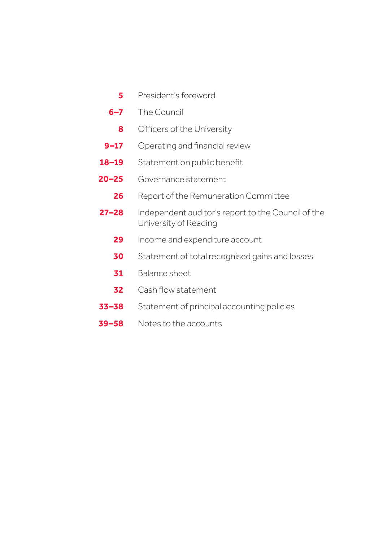- President's foreword **5**
- The Council **6–7**
	- Officers of the University **8**
- Operating and financial review **9–17**
- Statement on public benefit **18–19**
- Governance statement **20–25**
	- Report of the Remuneration Committee **26**
- Independent auditor's report to the Council of the University of Reading **27–28**
	- Income and expenditure account **29**
	- Statement of total recognised gains and losses **30**
	- Balance sheet **31**
	- Cash flow statement **32**
- Statement of principal accounting policies **33–38**
- Notes to the accounts **39–58**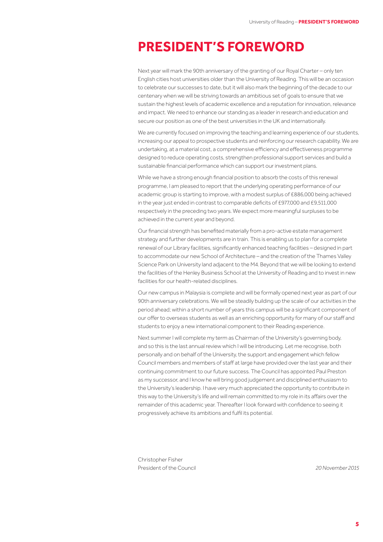## **PRESIDENT'S FOREWORD**

Next year will mark the 90th anniversary of the granting of our Royal Charter – only ten English cities host universities older than the University of Reading. This will be an occasion to celebrate our successes to date, but it will also mark the beginning of the decade to our centenary when we will be striving towards an ambitious set of goals to ensure that we sustain the highest levels of academic excellence and a reputation for innovation, relevance and impact. We need to enhance our standing as a leader in research and education and secure our position as one of the best universities in the UK and internationally.

We are currently focused on improving the teaching and learning experience of our students, increasing our appeal to prospective students and reinforcing our research capability. We are undertaking, at a material cost, a comprehensive efficiency and effectiveness programme designed to reduce operating costs, strengthen professional support services and build a sustainable financial performance which can support our investment plans.

While we have a strong enough financial position to absorb the costs of this renewal programme, I am pleased to report that the underlying operating performance of our academic group is starting to improve, with a modest surplus of £886,000 being achieved in the year just ended in contrast to comparable deficits of £977,000 and £9,511,000 respectively in the preceding two years. We expect more meaningful surpluses to be achieved in the current year and beyond.

Our financial strength has benefited materially from a pro-active estate management strategy and further developments are in train. This is enabling us to plan for a complete renewal of our Library facilities, significantly enhanced teaching facilities – designed in part to accommodate our new School of Architecture – and the creation of the Thames Valley Science Park on University land adjacent to the M4. Beyond that we will be looking to extend the facilities of the Henley Business School at the University of Reading and to invest in new facilities for our health-related disciplines.

Our new campus in Malaysia is complete and will be formally opened next year as part of our 90th anniversary celebrations. We will be steadily building up the scale of our activities in the period ahead; within a short number of years this campus will be a significant component of our offer to overseas students as well as an enriching opportunity for many of our staff and students to enjoy a new international component to their Reading experience.

Next summer I will complete my term as Chairman of the University's governing body, and so this is the last annual review which I will be introducing. Let me recognise, both personally and on behalf of the University, the support and engagement which fellow Council members and members of staff at large have provided over the last year and their continuing commitment to our future success. The Council has appointed Paul Preston as my successor, and I know he will bring good judgement and disciplined enthusiasm to the University's leadership. I have very much appreciated the opportunity to contribute in this way to the University's life and will remain committed to my role in its affairs over the remainder of this academic year. Thereafter I look forward with confidence to seeing it progressively achieve its ambitions and fulfil its potential.

Christopher Fisher President of the Council *20November 2015*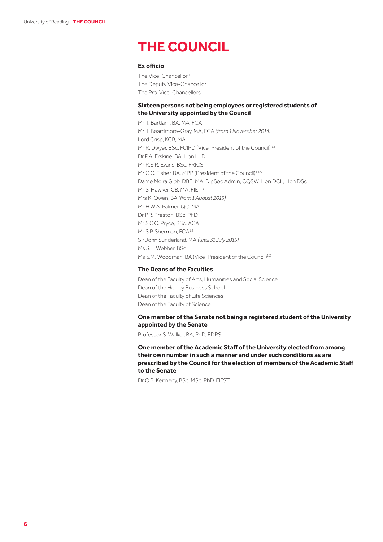## **THE COUNCIL**

#### **Ex officio**

The Vice-Chancellor<sup>1</sup> The Deputy Vice-Chancellor The Pro-Vice-Chancellors

#### **Sixteen persons not being employees or registered students of the University appointed by the Council**

Mr T. Bartlam, BA, MA, FCA Mr T. Beardmore-Gray, MA, FCA *(from 1November 2014)* Lord Crisp, KCB, MA Mr R. Dwyer, BSc, FCIPD (Vice-President of the Council)<sup>1,6</sup> Dr P.A. Erskine, BA, Hon LLD Mr R.E.R. Evans, BSc, FRICS Mr C.C. Fisher, BA, MPP (President of the Council)<sup>1,4,5</sup> Dame Moira Gibb, DBE, MA, DipSoc Admin, CQSW, Hon DCL, Hon DSc Mr S. Hawker, CB, MA, FIET<sup>1</sup> Mrs K. Owen, BA *(from 1 August 2015)* Mr H.W.A. Palmer, QC, MA Dr P.R. Preston, BSc, PhD Mr S.C.C. Pryce, BSc, ACA Mr S.P. Sherman, FCA<sup>1,3</sup> Sir John Sunderland, MA *(until 31 July 2015)* Ms S.L. Webber, BSc Ms S.M. Woodman, BA (Vice-President of the Council)<sup>1,2</sup>

#### **The Deans of the Faculties**

Dean of the Faculty of Arts, Humanities and Social Science Dean of the Henley Business School Dean of the Faculty of Life Sciences Dean of the Faculty of Science

#### **One member of the Senate not being a registered student of the University appointed by the Senate**

Professor S. Walker, BA, PhD, FDRS

**One member of the Academic Staff of the University elected from among their own number in such a manner and under such conditions as are prescribed by the Council for the election of members of the Academic Staff to the Senate**

Dr O.B. Kennedy, BSc, MSc, PhD, FIFST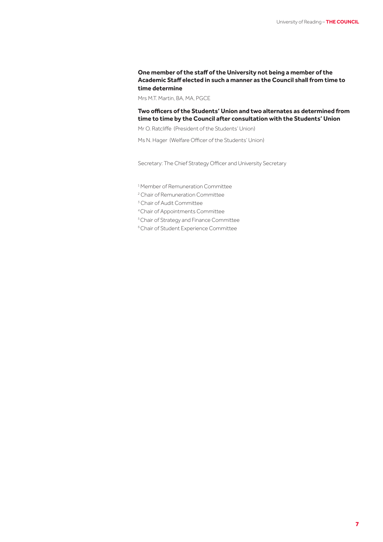#### **One member of the staff of the University not being a member of the Academic Staff elected in such a manner as the Council shall from time to time determine**

Mrs M.T. Martin, BA, MA, PGCE

#### **Two officers of the Students' Union and two alternates as determined from time to time by the Council after consultation with the Students' Union**

Mr O. Ratcliffe (President of the Students' Union)

Ms N. Hager (Welfare Officer of the Students' Union)

Secretary: The Chief Strategy Officer and University Secretary

1 Member of Remuneration Committee

<sup>2</sup> Chair of Remuneration Committee

<sup>3</sup> Chair of Audit Committee

4 Chair of Appointments Committee

5 Chair of Strategy and Finance Committee

6 Chair of Student Experience Committee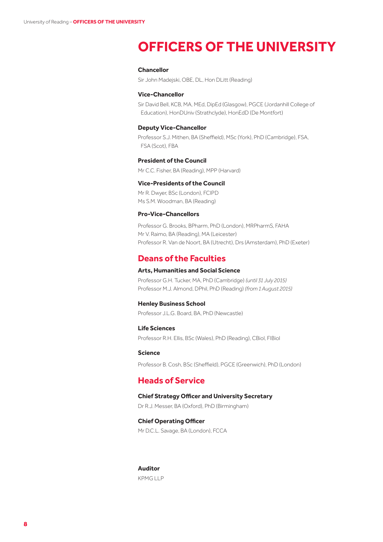## **OFFICERS OF THE UNIVERSITY**

#### **Chancellor**

Sir John Madejski, OBE, DL, Hon DLitt (Reading)

#### **Vice-Chancellor**

Sir David Bell, KCB, MA, MEd, DipEd (Glasgow), PGCE (Jordanhill College of Education), HonDUniv (Strathclyde), HonEdD (De Montfort)

#### **Deputy Vice-Chancellor**

Professor S.J. Mithen, BA (Sheffield), MSc (York), PhD (Cambridge), FSA, FSA (Scot), FBA

#### **President of the Council**

Mr C.C. Fisher, BA (Reading), MPP (Harvard)

#### **Vice-Presidents of the Council**

Mr R. Dwyer, BSc (London), FCIPD Ms S.M. Woodman, BA (Reading)

#### **Pro-Vice-Chancellors**

Professor G. Brooks, BPharm, PhD (London), MRPharmS, FAHA Mr V. Raimo, BA (Reading), MA (Leicester) Professor R. Van de Noort, BA (Utrecht), Drs (Amsterdam), PhD (Exeter)

## **Deans of the Faculties**

#### **Arts, Humanities and Social Science**

Professor G.H. Tucker, MA, PhD (Cambridge) *(until 31 July 2015)* Professor M.J. Almond, DPhil, PhD (Reading) *(from 1 August 2015)*

#### **Henley Business School**

Professor J.L.G. Board, BA, PhD (Newcastle)

#### **Life Sciences**

Professor R.H. Ellis, BSc (Wales), PhD (Reading), CBiol, FIBiol

#### **Science**

Professor B. Cosh, BSc (Sheffield), PGCE (Greenwich), PhD (London)

## **Heads of Service**

#### **Chief Strategy Officer and University Secretary**

Dr R.J. Messer, BA (Oxford), PhD (Birmingham)

#### **Chief Operating Officer**

Mr D.C.L. Savage, BA (London), FCCA

## **Auditor**

KPMG LLP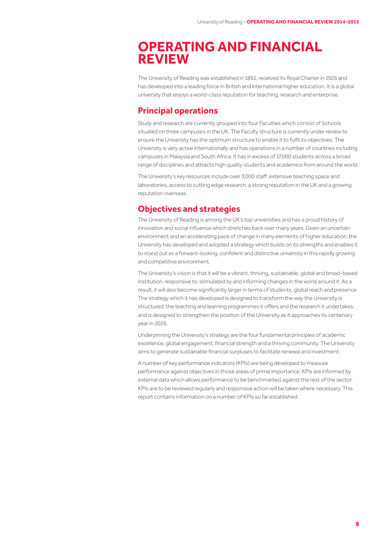## **OPERATING AND FINANCIAL REVIEW**

The University of Reading was established in 1892, received its Royal Charter in 1926 and has developed into a leading force in British and international higher education. It is a global university that enjoys a world-class reputation for teaching, research and enterprise.

## **Principal operations**

Study and research are currently grouped into four Faculties which consist of Schools situated on three campuses in the UK. The Faculty structure is currently under review to ensure the University has the optimum structure to enable it to fulfil its objectives. The University is very active internationally and has operations in a number of countries including campuses in Malaysia and South Africa. It has in excess of 17,000 students across a broad range of disciplines and attracts high quality students and academics from around the world.

The University's key resources include over 3,000 staff, extensive teaching space and laboratories, access to cutting edge research, a strong reputation in the UK and a growing reputation overseas.

## **Objectives and strategies**

The University of Reading is among the UK's top universities and has a proud history of innovation and social influence which stretches back over many years. Given an uncertain environment and an accelerating pace of change in many elements of higher education, the University has developed and adopted a strategy which builds on its strengths and enables it to stand out as a forward-looking, confident and distinctive university in this rapidly growing and competitive environment.

The University's vision is that it will be a vibrant, thriving, sustainable, global and broad-based institution, responsive to, stimulated by and informing changes in the world around it. As a result, it will also become significantly larger in terms of students, global reach and presence. The strategy which it has developed is designed to transform the way the University is structured, the teaching and learning programmes it offers and the research it undertakes, and is designed to strengthen the position of the University as it approaches its centenary year in 2026.

Underpinning the University's strategy are the four fundamental principles of academic excellence, global engagement, financial strength and a thriving community. The University aims to generate sustainable financial surpluses to facilitate renewal and investment.

A number of key performance indicators (KPIs) are being developed to measure performance against objectives in those areas of prime importance. KPIs are informed by external data which allows performance to be benchmarked against the rest of the sector. KPIs are to be reviewed regularly and responsive action will be taken where necessary. This report contains information on a number of KPIs so far established.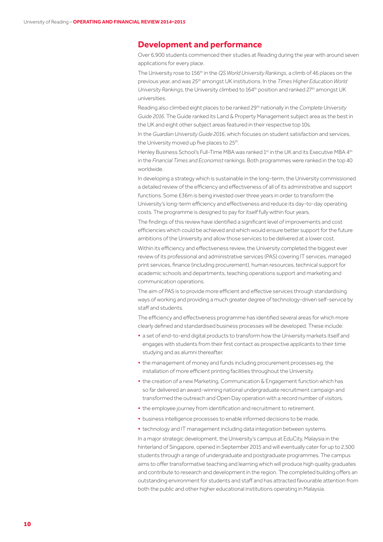## **Development and performance**

Over 6,900 students commenced their studies at Reading during the year with around seven applications for every place.

The University rose to 156th in the *QS World University Rankings*, a climb of 46 places on the previous year, and was 25th amongst UK institutions. In the *Times Higher Education World University Rankings*, the University climbed to 164th position and ranked 27th amongst UK universities.

Reading also climbed eight places to be ranked 29th nationally in the *Complete University Guide 2016*. The Guide ranked its Land & Property Management subject area as the best in the UK and eight other subject areas featured in their respective top 10s.

In the *Guardian UniversityGuide 2016*, which focuses on student satisfaction and services, the University moved up five places to 25<sup>th</sup>.

Henley Business School's Full-Time MBA was ranked 1st in the UK and its Executive MBA 4th in the *Financial Times and Economist* rankings. Both programmes were ranked in the top 40 worldwide.

In developing a strategy which is sustainable in the long-term, the University commissioned a detailed review of the efficiency and effectiveness of all of its administrative and support functions. Some £36m is being invested over three years in order to transform the University's long-term efficiency and effectiveness and reduce its day-to-day operating costs. The programme is designed to pay for itself fully within four years.

The findings of this review have identified a significant level of improvements and cost efficiencies which could be achieved and which would ensure better support for the future ambitions of the University and allow those services to be delivered at a lower cost.

Within its efficiency and effectiveness review, the University completed the biggest ever review of its professional and administrative services (PAS) covering IT services, managed print services, finance (including procurement), human resources, technical support for academic schools and departments, teaching operations support and marketing and communication operations.

The aim of PAS is to provide more efficient and effective services through standardising ways of working and providing a much greater degree of technology-driven self-service by staff and students.

The efficiency and effectiveness programme has identified several areas for which more clearly defined and standardised business processes will be developed. These include:

- **•** a set of end-to-end digital products to transform how the University markets itself and engages with students from their first contact as prospective applicants to their time studying and as alumni thereafter.
- **•** the management of money and funds including procurement processes eg. the installation of more efficient printing facilities throughout the University.
- **•** the creation of a new Marketing, Communication & Engagement function which has so far delivered an award-winning national undergraduate recruitment campaign and transformed the outreach and Open Day operation with a record number of visitors.
- **•** the employee journey from identification and recruitment to retirement.
- **•** business intelligence processes to enable informed decisions to be made.
- **•** technology and IT management including data integration between systems.

In a major strategic development, the University's campus at EduCity, Malaysia in the hinterland of Singapore, opened in September 2015 and will eventually cater for up to 2,500 students through a range of undergraduate and postgraduate programmes. The campus aims to offer transformative teaching and learning which will produce high quality graduates and contribute to research and development in the region. The completed building offers an outstanding environment for students and staff and has attracted favourable attention from both the public and other higher educational institutions operating in Malaysia.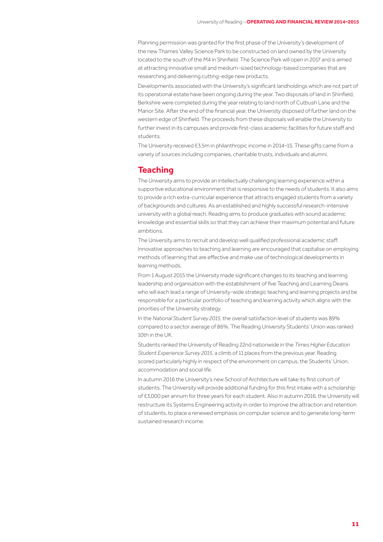Planning permission was granted for the first phase of the University's development of the new Thames Valley Science Park to be constructed on land owned by the University located to the south of the M4 in Shinfield. The Science Park will open in 2017 and is aimed at attracting innovative small and medium-sized technology-based companies that are researching and delivering cutting-edge new products.

Developments associated with the University's significant landholdings which are not part of its operational estate have been ongoing during the year. Two disposals of land in Shinfield, Berkshire were completed during the year relating to land north of Cutbush Lane and the Manor Site. After the end of the financial year, the University disposed of further land on the western edge of Shinfield. The proceeds from these disposals will enable the University to further invest in its campuses and provide first-class academic facilities for future staff and students.

The University received £3.5m in philanthropic income in 2014–15. These gifts came from a variety of sources including companies, charitable trusts, individuals and alumni.

## **Teaching**

The University aims to provide an intellectually challenging learning experience within a supportive educational environment that is responsive to the needs of students. It also aims to provide a rich extra-curricular experience that attracts engaged students from a variety of backgrounds and cultures. As an established and highly successful research-intensive university with a global reach, Reading aims to produce graduates with sound academic knowledge and essential skills so that they can achieve their maximum potential and future ambitions.

The University aims to recruit and develop well qualified professional academic staff. Innovative approaches to teaching and learning are encouraged that capitalise on employing methods of learning that are effective and make use of technological developments in learning methods.

From 1 August 2015 the University made significant changes to its teaching and learning leadership and organisation with the establishment of five Teaching and Learning Deans who will each lead a range of University-wide strategic teaching and learning projects and be responsible for a particular portfolio of teaching and learning activity which aligns with the priorities of the University strategy.

In the *National Student Survey 2015*, the overall satisfaction level of students was 89% compared to a sector average of 86%. The Reading University Students' Union was ranked 10th in the UK.

Students ranked the University of Reading 22nd nationwide in the *Times Higher Education Student Experience Survey 2015*, a climb of 11 places from the previous year. Reading scored particularly highly in respect of the environment on campus, the Students' Union, accommodation and social life.

In autumn 2016 the University's new School of Architecture will take its first cohort of students. The University will provide additional funding for this first intake with a scholarship of £3,000 per annum for three years for each student. Also in autumn 2016, the University will restructure its Systems Engineering activity in order to improve the attraction and retention of students, to place a renewed emphasis on computer science and to generate long-term sustained research income.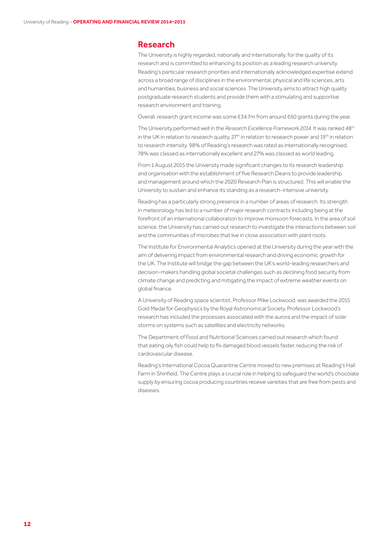#### **Research**

The University is highly regarded, nationally and internationally, for the quality of its research and is committed to enhancing its position as a leading research university. Reading's particular research priorities and internationally acknowledged expertise extend across a broad range of disciplines in the environmental, physical and life sciences, arts and humanities, business and social sciences. The University aims to attract high quality postgraduate research students and provide them with a stimulating and supportive research environment and training.

Overall, research grant income was some £34.7m from around 650 grants during the year.

The University performed well in the *Research Excellence Framework 2014.* It was ranked 48th in the UK in relation to research quality, 27<sup>th</sup> in relation to research power and 19<sup>th</sup> in relation to research intensity. 98% of Reading's research was rated as internationally recognised, 78% was classed as internationally excellent and 27% was classed as world leading.

From 1 August 2015 the University made significant changes to its research leadership and organisation with the establishment of five Research Deans to provide leadership and management around which the 2020 Research Plan is structured. This will enable the University to sustain and enhance its standing as a research-intensive university.

Reading has a particularly strong presence in a number of areas of research. Its strength in meteorology has led to a number of major research contracts including being at the forefront of an international collaboration to improve monsoon forecasts. In the area of soil science, the University has carried out research to investigate the interactions between soil and the communities of microbes that live in close association with plant roots.

The Institute for Environmental Analytics opened at the University during the year with the aim of delivering impact from environmental research and driving economic growth for the UK. The Institute will bridge the gap between the UK's world-leading researchers and decision-makers handling global societal challenges such as declining food security from climate change and predicting and mitigating the impact of extreme weather events on global finance.

A University of Reading space scientist, Professor Mike Lockwood, was awarded the 2015 Gold Medal for Geophysics by the Royal Astronomical Society. Professor Lockwood's research has included the processes associated with the aurora and the impact of solar storms on systems such as satellites and electricity networks.

The Department of Food and Nutritional Sciences carried out research which found that eating oily fish could help to fix damaged blood vessels faster, reducing the risk of cardiovascular disease.

Reading's International Cocoa Quarantine Centre moved to new premises at Reading's Hall Farm in Shinfield. The Centre plays a crucial role in helping to safeguard the world's chocolate supply by ensuring cocoa producing countries receive varieties that are free from pests and diseases.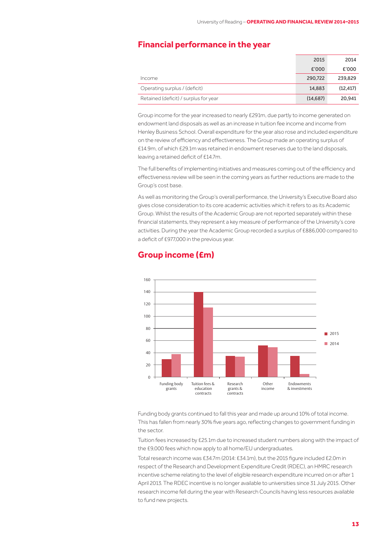## **Financial performance in the year**

|                                       | 2015      | 2014      |
|---------------------------------------|-----------|-----------|
|                                       | £'000     | £'000     |
| Income                                | 290,722   | 239,829   |
| Operating surplus / (deficit)         | 14,883    | (12, 417) |
| Retained (deficit) / surplus for year | (14, 687) | 20.941    |

Group income for the year increased to nearly £291m, due partly to income generated on endowment land disposals as well as an increase in tuition fee income and income from Henley Business School. Overall expenditure for the year also rose and included expenditure on the review of efficiency and effectiveness. The Group made an operating surplus of £14.9m, of which £29.1m was retained in endowment reserves due to the land disposals, leaving a retained deficit of £14.7m.

The full benefits of implementing initiatives and measures coming out of the efficiency and effectiveness review will be seen in the coming years as further reductions are made to the Group's cost base.

As well as monitoring the Group's overall performance, the University's Executive Board also gives close consideration to its core academic activities which it refers to as its Academic Group. Whilst the results of the Academic Group are not reported separately within these financial statements, they represent a key measure of performance of the University's core activities. During the year the Academic Group recorded a surplus of £886,000 compared to a deficit of £977,000 in the previous year.

## **Group income (£m)**



Funding body grants continued to fall this year and made up around 10% of total income. This has fallen from nearly 30% five years ago, reflecting changes to government funding in the sector.

Tuition fees increased by £25.1m due to increased student numbers along with the impact of the £9,000 fees which now apply to all home/EU undergraduates.

Total research income was £34.7m (2014: £34.1m), but the 2015 figure included £2.0m in respect of the Research and Development Expenditure Credit (RDEC), an HMRC research incentive scheme relating to the level of eligible research expenditure incurred on or after 1 April 2013. The RDEC incentive is no longer available to universities since 31 July 2015. Other research income fell during the year with Research Councils having less resources available to fund new projects.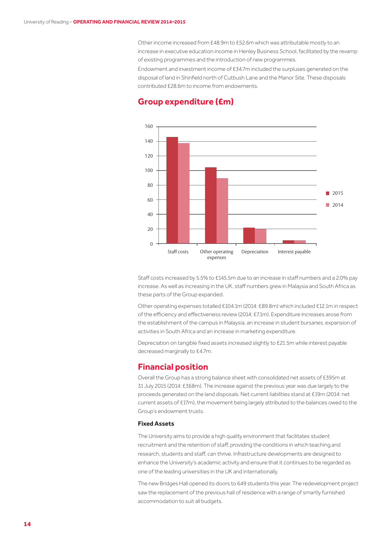Other income increased from £48.9m to £52.6m which was attributable mostly to an increase in executive education income in Henley Business School, facilitated by the revamp of existing programmes and the introduction of new programmes.

Endowment and investment income of £34.7m included the surpluses generated on the disposal of land in Shinfield north of Cutbush Lane and the Manor Site. These disposals contributed £28.6m to income from endowments.



## **Group expenditure (£m)**

Staff costs increased by 5.5% to £145.5m due to an increase in staff numbers and a 2.0% pay increase. As well as increasing in the UK, staff numbers grew in Malaysia and South Africa as these parts of the Group expanded.

Other operating expenses totalled £104.1m (2014: £89.8m) which included £12.1m in respect of the efficiency and effectiveness review (2014: £7.1m). Expenditure increases arose from the establishment of the campus in Malaysia, an increase in student bursaries, expansion of activities in South Africa and an increase in marketing expenditure.

Depreciation on tangible fixed assets increased slightly to £21.5m while interest payable decreased marginally to £4.7m.

## **Financial position**

Overall the Group has a strong balance sheet with consolidated net assets of £395m at 31 July 2015 (2014: £368m). The increase against the previous year was due largely to the proceeds generated on the land disposals. Net current liabilities stand at £19m (2014: net current assets of £17m), the movement being largely attributed to the balances owed to the Group's endowment trusts.

#### **Fixed Assets**

The University aims to provide a high quality environment that facilitates student recruitment and the retention of staff, providing the conditions in which teaching and research, students and staff, can thrive. Infrastructure developments are designed to enhance the University's academic activity and ensure that it continues to be regarded as one of the leading universities in the UK and internationally.

The new Bridges Hall opened its doors to 649 students this year. The redevelopment project saw the replacement of the previous hall of residence with a range of smartly furnished accommodation to suit all budgets.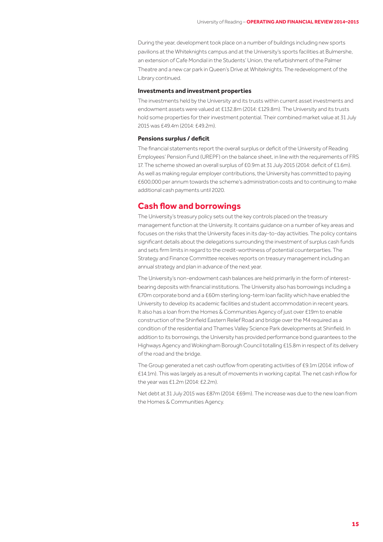During the year, development took place on a number of buildings including new sports pavilions at the Whiteknights campus and at the University's sports facilities at Bulmershe, an extension of Cafe Mondial in the Students' Union, the refurbishment of the Palmer Theatre and a new car park in Queen's Drive at Whiteknights. The redevelopment of the Library continued.

#### **Investments and investment properties**

The investments held by the University and its trusts within current asset investments and endowment assets were valued at £132.8m (2014: £129.8m). The University and its trusts hold some properties for their investment potential. Their combined market value at 31 July 2015 was £49.4m (2014: £49.2m).

#### **Pensions surplus / deficit**

The financial statements report the overall surplus or deficit of the University of Reading Employees' Pension Fund (UREPF) on the balance sheet, in line with the requirements of FRS 17. The scheme showed an overall surplus of £0.9m at 31 July 2015 (2014: deficit of £1.6m). As well as making regular employer contributions, the University has committed to paying £600,000 per annum towards the scheme's administration costs and to continuing to make additional cash payments until 2020.

#### **Cash flow and borrowings**

The University's treasury policy sets out the key controls placed on the treasury management function at the University. It contains guidance on a number of key areas and focuses on the risks that the University faces in its day-to-day activities. The policy contains significant details about the delegations surrounding the investment of surplus cash funds and sets firm limits in regard to the credit-worthiness of potential counterparties. The Strategy and Finance Committee receives reports on treasury management including an annual strategy and plan in advance of the next year.

The University's non-endowment cash balances are held primarily in the form of interestbearing deposits with financial institutions. The University also has borrowings including a £70m corporate bond and a £60m sterling long-term loan facility which have enabled the University to develop its academic facilities and student accommodation in recent years. It also has a loan from the Homes & Communities Agency of just over £19m to enable construction of the Shinfield Eastern Relief Road and bridge over the M4 required as a condition of the residential and Thames Valley Science Park developments at Shinfield. In addition to its borrowings, the University has provided performance bond guarantees to the Highways Agency and Wokingham Borough Council totalling £15.8m in respect of its delivery of the road and the bridge.

The Group generated a net cash outflow from operating activities of £9.1m (2014: inflow of £14.1m). This was largely as a result of movements in working capital. The net cash inflow for the year was £1.2m (2014: £2.2m).

Net debt at 31 July 2015 was £87m (2014: £69m). The increase was due to the new loan from the Homes & Communities Agency.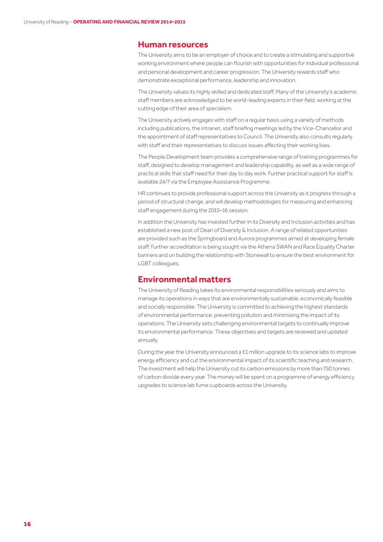#### **Human resources**

The University aims to be an employer of choice and to create a stimulating and supportive working environment where people can flourish with opportunities for individual professional and personal development and career progression. The University rewards staff who demonstrate exceptional performance, leadership and innovation.

The University values its highly skilled and dedicated staff. Many of the University's academic staff members are acknowledged to be world-leading experts in their field, working at the cutting edge of their area of specialism.

The University actively engages with staff on a regular basis using a variety of methods including publications, the intranet, staff briefing meetings led by the Vice-Chancellor and the appointment of staff representatives to Council. The University also consults regularly with staff and their representatives to discuss issues affecting their working lives.

The People Development team provides a comprehensive range of training programmes for staff, designed to develop management and leadership capability, as well as a wide range of practical skills that staff need for their day to day work. Further practical support for staff is available 24/7 via the Employee Assistance Programme.

HR continues to provide professional support across the University as it progress through a period of structural change, and will develop methodologies for measuring and enhancing staff engagement during the 2015–16 session.

In addition the University has invested further in its Diversity and Inclusion activities and has established a new post of Dean of Diversity & Inclusion. A range of related opportunities are provided such as the Springboard and Aurora programmes aimed at developing female staff. Further accreditation is being sought via the Athena SWAN and Race Equality Charter banners and on building the relationship with Stonewall to ensure the best environment for LGBT colleagues.

## **Environmental matters**

The University of Reading takes its environmental responsibilities seriously and aims to manage its operations in ways that are environmentally sustainable, economically feasible and socially responsible. The University is committed to achieving the highest standards of environmental performance, preventing pollution and minimising the impact of its operations. The University sets challenging environmental targets to continually improve its environmental performance. These objectives and targets are reviewed and updated annually.

During the year the University announced a £1 million upgrade to its science labs to improve energy efficiency and cut the environmental impact of its scientific teaching and research. The investment will help the University cut its carbon emissions by more than 750 tonnes of carbon dioxide every year. The money will be spent on a programme of energy efficiency upgrades to science lab fume cupboards across the University.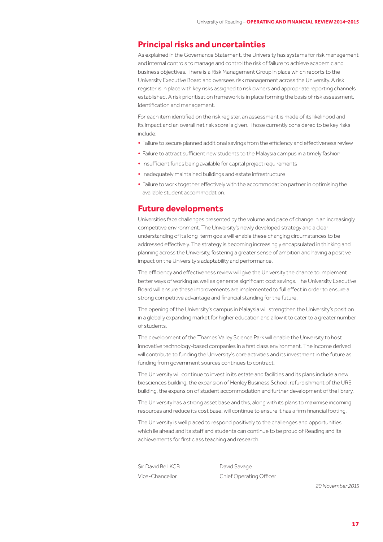## **Principal risks and uncertainties**

As explained in the Governance Statement, the University has systems for risk management and internal controls to manage and control the risk of failure to achieve academic and business objectives. There is a Risk Management Group in place which reports to the University Executive Board and oversees risk management across the University. A risk register is in place with key risks assigned to risk owners and appropriate reporting channels established. A risk prioritisation framework is in place forming the basis of risk assessment, identification and management.

For each item identified on the risk register, an assessment is made of its likelihood and its impact and an overall net risk score is given. Those currently considered to be key risks include:

- **•** Failure to secure planned additional savings from the efficiency and effectiveness review
- **•** Failure to attract sufficient new students to the Malaysia campus in a timely fashion
- **•** Insufficient funds being available for capital project requirements
- **•** Inadequately maintained buildings and estate infrastructure
- **•** Failure to work together effectively with the accommodation partner in optimising the available student accommodation.

## **Future developments**

Universities face challenges presented by the volume and pace of change in an increasingly competitive environment. The University's newly developed strategy and a clear understanding of its long-term goals will enable these changing circumstances to be addressed effectively. The strategy is becoming increasingly encapsulated in thinking and planning across the University, fostering a greater sense of ambition and having a positive impact on the University's adaptability and performance.

The efficiency and effectiveness review will give the University the chance to implement better ways of working as well as generate significant cost savings. The University Executive Board will ensure these improvements are implemented to full effect in order to ensure a strong competitive advantage and financial standing for the future.

The opening of the University's campus in Malaysia will strengthen the University's position in a globally expanding market for higher education and allow it to cater to a greater number of students.

The development of the Thames Valley Science Park will enable the University to host innovative technology-based companies in a first class environment. The income derived will contribute to funding the University's core activities and its investment in the future as funding from government sources continues to contract.

The University will continue to invest in its estate and facilities and its plans include a new biosciences building, the expansion of Henley Business School, refurbishment of the URS building, the expansion of student accommodation and further development of the library.

The University has a strong asset base and this, along with its plans to maximise incoming resources and reduce its cost base, will continue to ensure it has a firm financial footing.

The University is well placed to respond positively to the challenges and opportunities which lie ahead and its staff and students can continue to be proud of Reading and its achievements for first class teaching and research.

Sir David Bell KCB David Savage

Vice-Chancellor Chief Operating Officer

*20November 2015*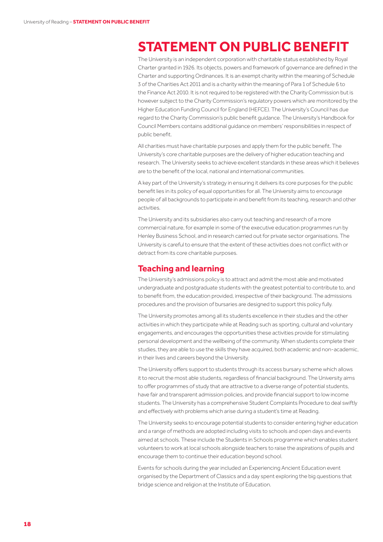## **STATEMENT ON PUBLIC BENEFIT**

The University is an independent corporation with charitable status established by Royal Charter granted in 1926. Its objects, powers and framework of governance are defined in the Charter and supporting Ordinances. It is an exempt charity within the meaning of Schedule 3 of the Charities Act 2011 and is a charity within the meaning of Para 1 of Schedule 6 to the Finance Act 2010. It is not required to be registered with the Charity Commission but is however subject to the Charity Commission's regulatory powers which are monitored by the Higher Education Funding Council for England (HEFCE). The University's Council has due regard to the Charity Commission's public benefit guidance. The University's Handbook for Council Members contains additional guidance on members' responsibilities in respect of public benefit.

All charities must have charitable purposes and apply them for the public benefit. The University's core charitable purposes are the delivery of higher education teaching and research. The University seeks to achieve excellent standards in these areas which it believes are to the benefit of the local, national and international communities.

A key part of the University's strategy in ensuring it delivers its core purposes for the public benefit lies in its policy of equal opportunities for all. The University aims to encourage people of all backgrounds to participate in and benefit from its teaching, research and other activities.

The University and its subsidiaries also carry out teaching and research of a more commercial nature, for example in some of the executive education programmes run by Henley Business School, and in research carried out for private sector organisations. The University is careful to ensure that the extent of these activities does not conflict with or detract from its core charitable purposes.

#### **Teaching and learning**

The University's admissions policy is to attract and admit the most able and motivated undergraduate and postgraduate students with the greatest potential to contribute to, and to benefit from, the education provided, irrespective of their background. The admissions procedures and the provision of bursaries are designed to support this policy fully.

The University promotes among all its students excellence in their studies and the other activities in which they participate while at Reading such as sporting, cultural and voluntary engagements, and encourages the opportunities these activities provide for stimulating personal development and the wellbeing of the community. When students complete their studies, they are able to use the skills they have acquired, both academic and non-academic, in their lives and careers beyond the University.

The University offers support to students through its access bursary scheme which allows it to recruit the most able students, regardless of financial background. The University aims to offer programmes of study that are attractive to a diverse range of potential students, have fair and transparent admission policies, and provide financial support to low income students. The University has a comprehensive Student Complaints Procedure to deal swiftly and effectively with problems which arise during a student's time at Reading.

The University seeks to encourage potential students to consider entering higher education and a range of methods are adopted including visits to schools and open days and events aimed at schools. These include the Students in Schools programme which enables student volunteers to work at local schools alongside teachers to raise the aspirations of pupils and encourage them to continue their education beyond school.

Events for schools during the year included an Experiencing Ancient Education event organised by the Department of Classics and a day spent exploring the big questions that bridge science and religion at the Institute of Education.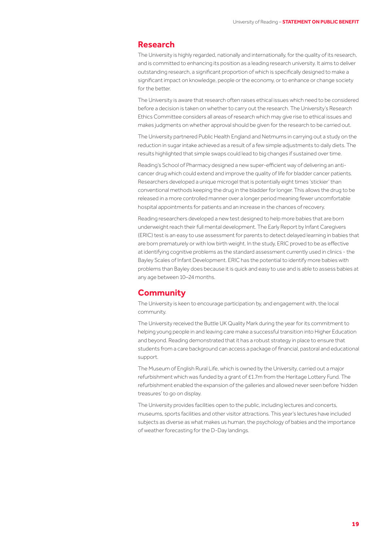### **Research**

The University is highly regarded, nationally and internationally, for the quality of its research, and is committed to enhancing its position as a leading research university. It aims to deliver outstanding research, a significant proportion of which is specifically designed to make a significant impact on knowledge, people or the economy, or to enhance or change society for the better.

The University is aware that research often raises ethical issues which need to be considered before a decision is taken on whether to carry out the research. The University's Research Ethics Committee considers all areas of research which may give rise to ethical issues and makes judgments on whether approval should be given for the research to be carried out.

The University partnered Public Health England and Netmums in carrying out a study on the reduction in sugar intake achieved as a result of a few simple adjustments to daily diets. The results highlighted that simple swaps could lead to big changes if sustained over time.

Reading's School of Pharmacy designed a new super-efficient way of delivering an anticancer drug which could extend and improve the quality of life for bladder cancer patients. Researchers developed a unique microgel that is potentially eight times 'stickier' than conventional methods keeping the drug in the bladder for longer. This allows the drug to be released in a more controlled manner over a longer period meaning fewer uncomfortable hospital appointments for patients and an increase in the chances of recovery.

Reading researchers developed a new test designed to help more babies that are born underweight reach their full mental development. The Early Report by Infant Caregivers (ERIC) test is an easy to use assessment for parents to detect delayed learning in babies that are born prematurely or with low birth weight. In the study, ERIC proved to be as effective at identifying cognitive problems as the standard assessment currently used in clinics - the Bayley Scales of Infant Development. ERIC has the potential to identify more babies with problems than Bayley does because it is quick and easy to use and is able to assess babies at any age between 10–24 months.

## **Community**

The University is keen to encourage participation by, and engagement with, the local community.

The University received the Buttle UK Quality Mark during the year for its commitment to helping young people in and leaving care make a successful transition into Higher Education and beyond. Reading demonstrated that it has a robust strategy in place to ensure that students from a care background can access a package of financial, pastoral and educational support.

The Museum of English Rural Life, which is owned by the University, carried out a major refurbishment which was funded by a grant of £1.7m from the Heritage Lottery Fund. The refurbishment enabled the expansion of the galleries and allowed never seen before 'hidden treasures' to go on display.

The University provides facilities open to the public, including lectures and concerts, museums, sports facilities and other visitor attractions. This year's lectures have included subjects as diverse as what makes us human, the psychology of babies and the importance of weather forecasting for the D-Day landings.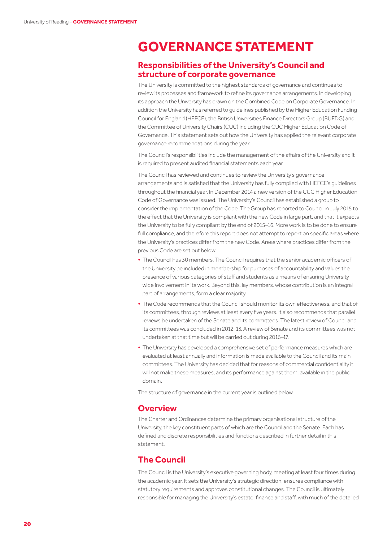## **GOVERNANCE STATEMENT**

## **Responsibilities of the University's Council and structure of corporate governance**

The University is committed to the highest standards of governance and continues to review its processes and framework to refine its governance arrangements. In developing its approach the University has drawn on the Combined Code on Corporate Governance. In addition the University has referred to guidelines published by the Higher Education Funding Council for England (HEFCE), the British Universities Finance Directors Group (BUFDG) and the Committee of University Chairs (CUC) including the CUC Higher Education Code of Governance. This statement sets out how the University has applied the relevant corporate governance recommendations during the year.

The Council's responsibilities include the management of the affairs of the University and it is required to present audited financial statements each year.

The Council has reviewed and continues to review the University's governance arrangements and is satisfied that the University has fully complied with HEFCE's guidelines throughout the financial year. In December 2014 a new version of the CUC Higher Education Code of Governance was issued. The University's Council has established a group to consider the implementation of the Code. The Group has reported to Council in July 2015 to the effect that the University is compliant with the new Code in large part, and that it expects the University to be fully compliant by the end of 2015–16. More work is to be done to ensure full compliance, and therefore this report does not attempt to report on specific areas where the University's practices differ from the new Code. Areas where practices differ from the previous Code are set out below:

- **•** The Council has 30 members. The Council requires that the senior academic officers of the University be included in membership for purposes of accountability and values the presence of various categories of staff and students as a means of ensuring Universitywide involvement in its work. Beyond this, lay members, whose contribution is an integral part of arrangements, form a clear majority.
- **•** The Code recommends that the Council should monitor its own effectiveness, and that of its committees, through reviews at least every five years. It also recommends that parallel reviews be undertaken of the Senate and its committees. The latest review of Council and its committees was concluded in 2012–13. A review of Senate and its committees was not undertaken at that time but will be carried out during 2016–17.
- **•** The University has developed a comprehensive set of performance measures which are evaluated at least annually and information is made available to the Council and its main committees. The University has decided that for reasons of commercial confidentiality it will not make these measures, and its performance against them, available in the public domain.

The structure of governance in the current year is outlined below.

### **Overview**

The Charter and Ordinances determine the primary organisational structure of the University, the key constituent parts of which are the Council and the Senate. Each has defined and discrete responsibilities and functions described in further detail in this statement.

## **The Council**

The Council is the University's executive governing body, meeting at least four times during the academic year. It sets the University's strategic direction, ensures compliance with statutory requirements and approves constitutional changes. The Council is ultimately responsible for managing the University's estate, finance and staff, with much of the detailed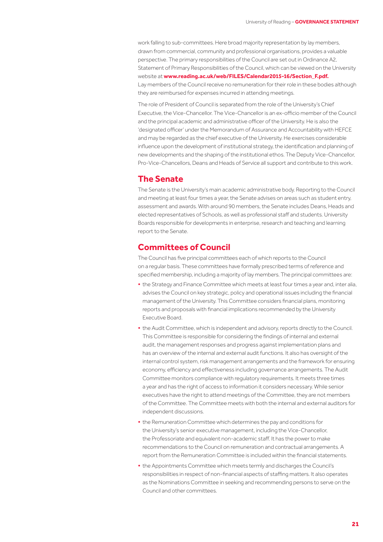work falling to sub-committees. Here broad majority representation by lay members, drawn from commercial, community and professional organisations, provides a valuable perspective. The primary responsibilities of the Council are set out in Ordinance A2, Statement of Primary Responsibilities of the Council, which can be viewed on the University website at **www.reading.ac.uk/web/FILES/Calendar2015-16/Section\_F.pdf.** Lay members of the Council receive no remuneration for their role in these bodies although they are reimbursed for expenses incurred in attending meetings.

The role of President of Council is separated from the role of the University's Chief Executive, the Vice-Chancellor. The Vice-Chancellor is an ex-officio member of the Council and the principal academic and administrative officer of the University. He is also the 'designated officer' under the Memorandum of Assurance and Accountability with HEFCE and may be regarded as the chief executive of the University. He exercises considerable influence upon the development of institutional strategy, the identification and planning of new developments and the shaping of the institutional ethos. The Deputy Vice-Chancellor, Pro-Vice-Chancellors, Deans and Heads of Service all support and contribute to this work.

### **The Senate**

The Senate is the University's main academic administrative body. Reporting to the Council and meeting at least four times a year, the Senate advises on areas such as student entry, assessment and awards. With around 90 members, the Senate includes Deans, Heads and elected representatives of Schools, as well as professional staff and students. University Boards responsible for developments in enterprise, research and teaching and learning report to the Senate.

## **Committees of Council**

The Council has five principal committees each of which reports to the Council on a regular basis. These committees have formally prescribed terms of reference and specified membership, including a majority of lay members. The principal committees are:

- **•** the Strategy and Finance Committee which meets at least four times a year and, inter alia, advises the Council on key strategic, policy and operational issues including the financial management of the University. This Committee considers financial plans, monitoring reports and proposals with financial implications recommended by the University Executive Board.
- **•** the Audit Committee, which is independent and advisory, reports directly to the Council. This Committee is responsible for considering the findings of internal and external audit, the management responses and progress against implementation plans and has an overview of the internal and external audit functions. It also has oversight of the internal control system, risk management arrangements and the framework for ensuring economy, efficiency and effectiveness including governance arrangements. The Audit Committee monitors compliance with regulatory requirements. It meets three times a year and has the right of access to information it considers necessary. While senior executives have the right to attend meetings of the Committee, they are not members of the Committee. The Committee meets with both the internal and external auditors for independent discussions.
- **•** the Remuneration Committee which determines the pay and conditions for the University's senior executive management, including the Vice-Chancellor, the Professoriate and equivalent non-academic staff. It has the power to make recommendations to the Council on remuneration and contractual arrangements. A report from the Remuneration Committee is included within the financial statements.
- **•** the Appointments Committee which meets termly and discharges the Council's responsibilities in respect of non-financial aspects of staffing matters. It also operates as the Nominations Committee in seeking and recommending persons to serve on the Council and other committees.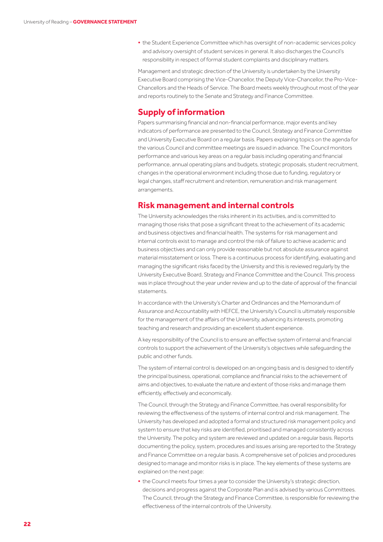**•** the Student Experience Committee which has oversight of non-academic services policy and advisory oversight of student services in general. It also discharges the Council's responsibility in respect of formal student complaints and disciplinary matters.

Management and strategic direction of the University is undertaken by the University Executive Board comprising the Vice-Chancellor, the Deputy Vice-Chancellor, the Pro-Vice-Chancellors and the Heads of Service. The Board meets weekly throughout most of the year and reports routinely to the Senate and Strategy and Finance Committee.

## **Supply of information**

Papers summarising financial and non-financial performance, major events and key indicators of performance are presented to the Council, Strategy and Finance Committee and University Executive Board on a regular basis. Papers explaining topics on the agenda for the various Council and committee meetings are issued in advance. The Council monitors performance and various key areas on a regular basis including operating and financial performance, annual operating plans and budgets, strategic proposals, student recruitment, changes in the operational environment including those due to funding, regulatory or legal changes, staff recruitment and retention, remuneration and risk management arrangements.

#### **Risk management and internal controls**

The University acknowledges the risks inherent in its activities, and is committed to managing those risks that pose a significant threat to the achievement of its academic and business objectives and financial health. The systems for risk management and internal controls exist to manage and control the risk of failure to achieve academic and business objectives and can only provide reasonable but not absolute assurance against material misstatement or loss. There is a continuous process for identifying, evaluating and managing the significant risks faced by the University and this is reviewed regularly by the University Executive Board, Strategy and Finance Committee and the Council. This process was in place throughout the year under review and up to the date of approval of the financial statements.

In accordance with the University's Charter and Ordinances and the Memorandum of Assurance and Accountability with HEFCE, the University's Council is ultimately responsible for the management of the affairs of the University, advancing its interests, promoting teaching and research and providing an excellent student experience.

A key responsibility of the Council is to ensure an effective system of internal and financial controls to support the achievement of the University's objectives while safeguarding the public and other funds.

The system of internal control is developed on an ongoing basis and is designed to identify the principal business, operational, compliance and financial risks to the achievement of aims and objectives, to evaluate the nature and extent of those risks and manage them efficiently, effectively and economically.

The Council, through the Strategy and Finance Committee, has overall responsibility for reviewing the effectiveness of the systems of internal control and risk management. The University has developed and adopted a formal and structured risk management policy and system to ensure that key risks are identified, prioritised and managed consistently across the University. The policy and system are reviewed and updated on a regular basis. Reports documenting the policy, system, procedures and issues arising are reported to the Strategy and Finance Committee on a regular basis. A comprehensive set of policies and procedures designed to manage and monitor risks is in place. The key elements of these systems are explained on the next page:

**•** the Council meets four times a year to consider the University's strategic direction, decisions and progress against the Corporate Plan and is advised by various Committees. The Council, through the Strategy and Finance Committee, is responsible for reviewing the effectiveness of the internal controls of the University.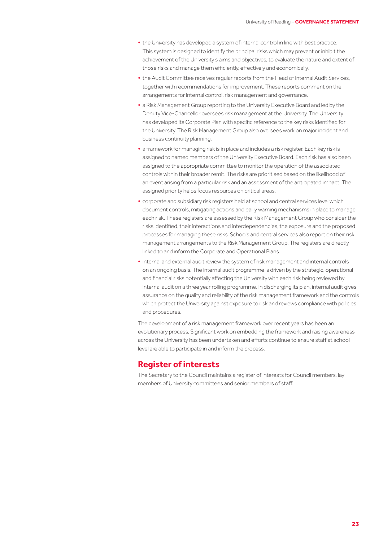- **•** the University has developed a system of internal control in line with best practice. This system is designed to identify the principal risks which may prevent or inhibit the achievement of the University's aims and objectives, to evaluate the nature and extent of those risks and manage them efficiently, effectively and economically.
- **•** the Audit Committee receives regular reports from the Head of Internal Audit Services, together with recommendations for improvement. These reports comment on the arrangements for internal control, risk management and governance.
- **•** a Risk Management Group reporting to the University Executive Board and led by the Deputy Vice-Chancellor oversees risk management at the University. The University has developed its Corporate Plan with specific reference to the key risks identified for the University. The Risk Management Group also oversees work on major incident and business continuity planning.
- **•** a framework for managing risk is in place and includes a risk register. Each key risk is assigned to named members of the University Executive Board. Each risk has also been assigned to the appropriate committee to monitor the operation of the associated controls within their broader remit. The risks are prioritised based on the likelihood of an event arising from a particular risk and an assessment of the anticipated impact. The assigned priority helps focus resources on critical areas.
- **•** corporate and subsidiary risk registers held at school and central services level which document controls, mitigating actions and early warning mechanisms in place to manage each risk. These registers are assessed by the Risk Management Group who consider the risks identified, their interactions and interdependencies, the exposure and the proposed processes for managing these risks. Schools and central services also report on their risk management arrangements to the Risk Management Group. The registers are directly linked to and inform the Corporate and Operational Plans.
- **•** internal and external audit review the system of risk management and internal controls on an ongoing basis. The internal audit programme is driven by the strategic, operational and financial risks potentially affecting the University with each risk being reviewed by internal audit on a three year rolling programme. In discharging its plan, internal audit gives assurance on the quality and reliability of the risk management framework and the controls which protect the University against exposure to risk and reviews compliance with policies and procedures.

The development of a risk management framework over recent years has been an evolutionary process. Significant work on embedding the framework and raising awareness across the University has been undertaken and efforts continue to ensure staff at school level are able to participate in and inform the process.

## **Register of interests**

The Secretary to the Council maintains a register of interests for Council members, lay members of University committees and senior members of staff.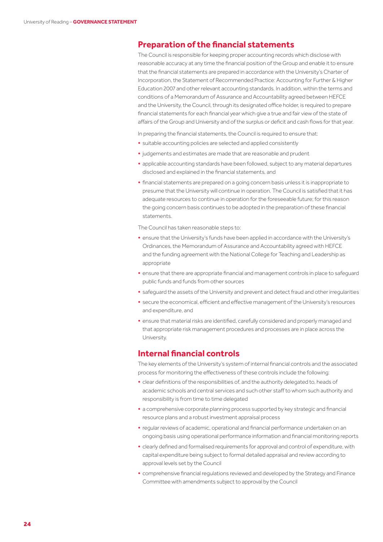## **Preparation of the financial statements**

The Council is responsible for keeping proper accounting records which disclose with reasonable accuracy at any time the financial position of the Group and enable it to ensure that the financial statements are prepared in accordance with the University's Charter of Incorporation, the Statement of Recommended Practice: Accounting for Further & Higher Education 2007 and other relevant accounting standards. In addition, within the terms and conditions of a Memorandum of Assurance and Accountability agreed between HEFCE and the University, the Council, through its designated office holder, is required to prepare financial statements for each financial year which give a true and fair view of the state of affairs of the Group and University and of the surplus or deficit and cash flows for that year.

In preparing the financial statements, the Council is required to ensure that:

- **•** suitable accounting policies are selected and applied consistently
- **•** judgements and estimates are made that are reasonable and prudent
- **•** applicable accounting standards have been followed, subject to any material departures disclosed and explained in the financial statements, and
- **•** financial statements are prepared on a going concern basis unless it is inappropriate to presume that the University will continue in operation. The Council is satisfied that it has adequate resources to continue in operation for the foreseeable future; for this reason the going concern basis continues to be adopted in the preparation of these financial statements.

The Council has taken reasonable steps to:

- **•** ensure that the University's funds have been applied in accordance with the University's Ordinances, the Memorandum of Assurance and Accountability agreed with HEFCE and the funding agreement with the National College for Teaching and Leadership as appropriate
- **•** ensure that there are appropriate financial and management controls in place to safeguard public funds and funds from other sources
- **•** safeguard the assets of the University and prevent and detect fraud and other irregularities
- **•** secure the economical, efficient and effective management of the University's resources and expenditure, and
- **•** ensure that material risks are identified, carefully considered and properly managed and that appropriate risk management procedures and processes are in place across the University.

## **Internal financial controls**

The key elements of the University's system of internal financial controls and the associated process for monitoring the effectiveness of these controls include the following:

- **•** clear definitions of the responsibilities of, and the authority delegated to, heads of academic schools and central services and such other staff to whom such authority and responsibility is from time to time delegated
- **•** a comprehensive corporate planning process supported by key strategic and financial resource plans and a robust investment appraisal process
- **•** regular reviews of academic, operational and financial performance undertaken on an ongoing basis using operational performance information and financial monitoring reports
- **•** clearly defined and formalised requirements for approval and control of expenditure, with capital expenditure being subject to formal detailed appraisal and review according to approval levels set by the Council
- **•** comprehensive financial regulations reviewed and developed by the Strategy and Finance Committee with amendments subject to approval by the Council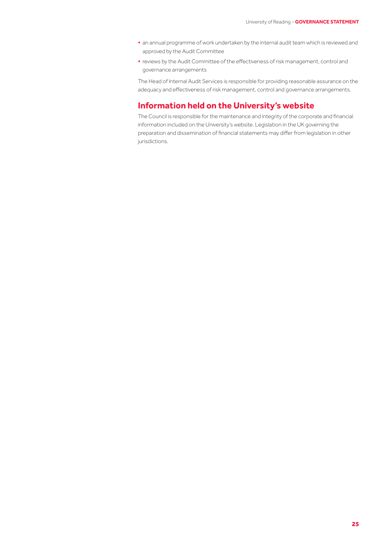- **•** an annual programme of work undertaken by the internal audit team which is reviewed and approved by the Audit Committee
- **•** reviews by the Audit Committee of the effectiveness of risk management, control and governance arrangements

The Head of Internal Audit Services is responsible for providing reasonable assurance on the adequacy and effectiveness of risk management, control and governance arrangements.

## **Information held on the University's website**

The Council is responsible for the maintenance and integrity of the corporate and financial information included on the University's website. Legislation in the UK governing the preparation and dissemination of financial statements may differ from legislation in other jurisdictions.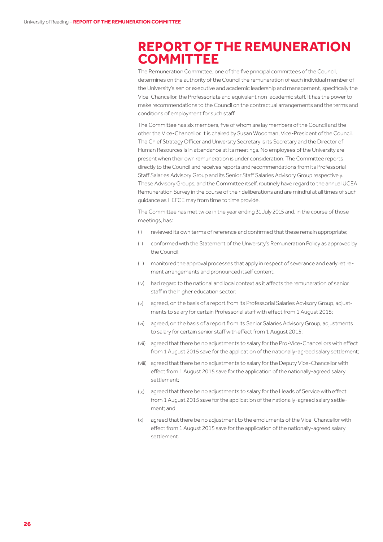## **REPORT OF THE REMUNERATION COMMITTEE**

The Remuneration Committee, one of the five principal committees of the Council, determines on the authority of the Council the remuneration of each individual member of the University's senior executive and academic leadership and management, specifically the Vice-Chancellor, the Professoriate and equivalent non-academic staff. It has the power to make recommendations to the Council on the contractual arrangements and the terms and conditions of employment for such staff.

The Committee has six members, five of whom are lay members of the Council and the other the Vice-Chancellor. It is chaired by Susan Woodman, Vice-President of the Council. The Chief Strategy Officer and University Secretary is its Secretary and the Director of Human Resources is in attendance at its meetings. No employees of the University are present when their own remuneration is under consideration. The Committee reports directly to the Council and receives reports and recommendations from its Professorial Staff Salaries Advisory Group and its Senior Staff Salaries Advisory Group respectively. These Advisory Groups, and the Committee itself, routinely have regard to the annual UCEA Remuneration Survey in the course of their deliberations and are mindful at all times of such guidance as HEFCE may from time to time provide.

The Committee has met twice in the year ending 31 July 2015 and, in the course of those meetings, has:

- reviewed its own terms of reference and confirmed that these remain appropriate; (i)
- conformed with the Statement of the University's Remuneration Policy as approved by the Council; (ii)
- monitored the approval processes that apply in respect of severance and early retire-(iii) ment arrangements and pronounced itself content;
- had regard to the national and local context as it affects the remuneration of senior (iv) staff in the higher education sector;
- agreed, on the basis of a report from its Professorial Salaries Advisory Group, adjustments to salary for certain Professorial staff with effect from 1 August 2015;  $(v)$
- agreed, on the basis of a report from its Senior Salaries Advisory Group, adjustments (vi) to salary for certain senior staff with effect from 1 August 2015;
- (vii) agreed that there be no adjustments to salary for the Pro-Vice-Chancellors with effect from 1 August 2015 save for the application of the nationally-agreed salary settlement;
- (viii) agreed that there be no adjustments to salary for the Deputy Vice-Chancellor with effect from 1 August 2015 save for the application of the nationally-agreed salary settlement;
- (ix) agreed that there be no adjustments to salary for the Heads of Service with effect from 1 August 2015 save for the application of the nationally-agreed salary settlement; and
- agreed that there be no adjustment to the emoluments of the Vice-Chancellor with (x) effect from 1 August 2015 save for the application of the nationally-agreed salary settlement.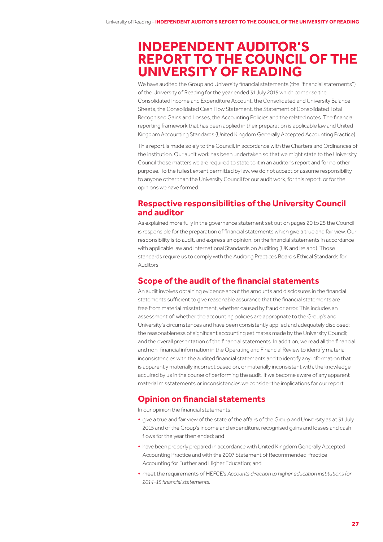## **INDEPENDENT AUDITOR'S REPORT TO THE COUNCIL OF THE UNIVERSITY OF READING**

We have audited the Group and University financial statements (the ''financial statements'') of the University of Reading for the year ended 31 July 2015 which comprise the Consolidated Income and Expenditure Account, the Consolidated and University Balance Sheets, the Consolidated Cash Flow Statement, the Statement of Consolidated Total Recognised Gains and Losses, the Accounting Policies and the related notes. The financial reporting framework that has been applied in their preparation is applicable law and United Kingdom Accounting Standards (United Kingdom Generally Accepted Accounting Practice).

This report is made solely to the Council, in accordance with the Charters and Ordinances of the institution. Our audit work has been undertaken so that we might state to the University Council those matters we are required to state to it in an auditor's report and for no other purpose. To the fullest extent permitted by law, we do not accept or assume responsibility to anyone other than the University Council for our audit work, for this report, or for the opinions we have formed.

## **Respective responsibilities of the University Council and auditor**

As explained more fully in the governance statement set out on pages 20 to 25 the Council is responsible for the preparation of financial statements which give a true and fair view. Our responsibility is to audit, and express an opinion, on the financial statements in accordance with applicable law and International Standards on Auditing (UK and Ireland). Those standards require us to comply with the Auditing Practices Board's Ethical Standards for Auditors.

## **Scope of the audit of the financial statements**

An audit involves obtaining evidence about the amounts and disclosures in the financial statements sufficient to give reasonable assurance that the financial statements are free from material misstatement, whether caused by fraud or error. This includes an assessment of: whether the accounting policies are appropriate to the Group's and University's circumstances and have been consistently applied and adequately disclosed; the reasonableness of significant accounting estimates made by the University Council; and the overall presentation of the financial statements. In addition, we read all the financial and non-financial information in the Operating and Financial Review to identify material inconsistencies with the audited financial statements and to identify any information that is apparently materially incorrect based on, or materially inconsistent with, the knowledge acquired by us in the course of performing the audit. If we become aware of any apparent material misstatements or inconsistencies we consider the implications for our report.

## **Opinion on financial statements**

In our opinion the financial statements:

- **•** give a true and fair view of the state of the affairs of the Group and University as at 31 July 2015 and of the Group's income and expenditure, recognised gains and losses and cash flows for the year then ended; and
- **•** have been properly prepared in accordance with United Kingdom Generally Accepted Accounting Practice and with the 2007 Statement of Recommended Practice – Accounting for Further and Higher Education; and
- **•** meet the requirements of HEFCE's *Accounts direction to higher education institutions for 2014–15 financial statements.*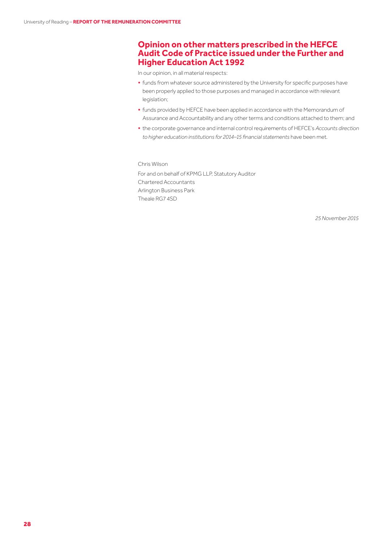## **Opinion on other matters prescribed in the HEFCE Audit Code of Practice issued under the Further and Higher Education Act 1992**

In our opinion, in all material respects:

- **•** funds from whatever source administered by the University for specific purposes have been properly applied to those purposes and managed in accordance with relevant legislation;
- **•** funds provided by HEFCE have been applied in accordance with the Memorandum of Assurance and Accountability and any other terms and conditions attached to them; and
- **•** the corporate governance and internal control requirements of HEFCE's *Accounts direction to higher education institutions for 2014–15 financial statements* have been met*.*

Chris Wilson

For and on behalf of KPMG LLP, Statutory Auditor Chartered Accountants Arlington Business Park Theale RG7 4SD

 *25November 2015*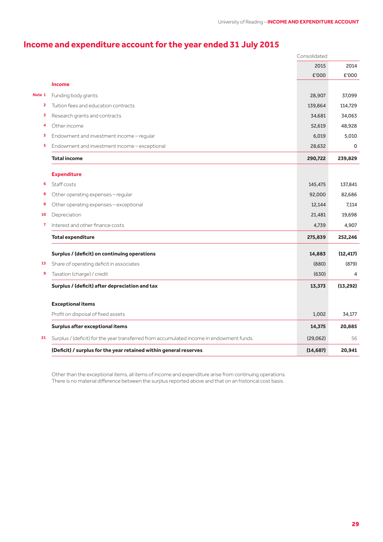## **Income and expenditure account for the year ended 31 July 2015**

|        |                                                                                         | Consolidated |             |
|--------|-----------------------------------------------------------------------------------------|--------------|-------------|
|        |                                                                                         | 2015         | 2014        |
|        |                                                                                         | £'000        | £'000       |
|        | <b>Income</b>                                                                           |              |             |
| Note 1 | Funding body grants                                                                     | 28,907       | 37,099      |
| 2      | Tuition fees and education contracts                                                    | 139,864      | 114,729     |
| 3      | Research grants and contracts                                                           | 34,681       | 34,063      |
| 4      | Other income                                                                            | 52,619       | 48,928      |
| 5      | Endowment and investment income - regular                                               | 6,019        | 5,010       |
| 5      | Endowment and investment income - exceptional                                           | 28,632       | $\mathbf 0$ |
|        | <b>Total income</b>                                                                     | 290,722      | 239,829     |
|        | <b>Expenditure</b>                                                                      |              |             |
| 6      | Staff costs                                                                             | 145,475      | 137,841     |
| 8      | Other operating expenses - regular                                                      | 92,000       | 82,686      |
| 8      | Other operating expenses - exceptional                                                  | 12,144       | 7.114       |
| 10     | Depreciation                                                                            | 21,481       | 19,698      |
| 7      | Interest and other finance costs                                                        | 4,739        | 4,907       |
|        | <b>Total expenditure</b>                                                                | 275,839      | 252,246     |
|        | Surplus / (deficit) on continuing operations                                            | 14,883       | (12, 417)   |
| 13     | Share of operating deficit in associates                                                | (880)        | (879)       |
| 9      | Taxation (charge) / credit                                                              | (630)        | 4           |
|        | Surplus / (deficit) after depreciation and tax                                          | 13,373       | (13, 292)   |
|        | <b>Exceptional items</b>                                                                |              |             |
|        | Profit on disposal of fixed assets                                                      | 1,002        | 34,177      |
|        | Surplus after exceptional items                                                         | 14,375       | 20,885      |
| 21     | Surplus / (deficit) for the year transferred from accumulated income in endowment funds | (29,062)     | 56          |
|        | (Deficit) / surplus for the year retained within general reserves                       | (14, 687)    | 20,941      |

Other than the exceptional items, all items of income and expenditure arise from continuing operations. There is no material difference between the surplus reported above and that on an historical cost basis.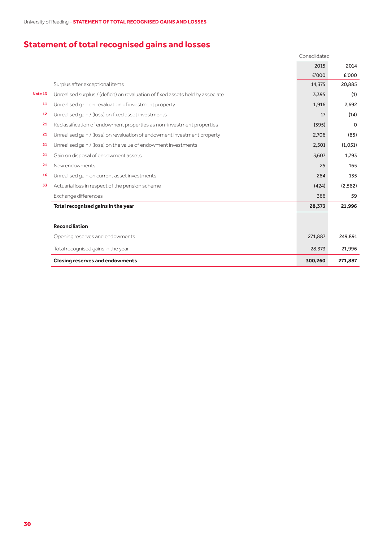University of Reading – **STATEMENT OF TOTAL RECOGNISED GAINS AND LOSSES**

## **Statement of total recognised gains and losses**

|         |                                                                                 | Consolidated |         |
|---------|---------------------------------------------------------------------------------|--------------|---------|
|         |                                                                                 | 2015         | 2014    |
|         |                                                                                 | £'000        | £'000   |
|         | Surplus after exceptional items                                                 | 14,375       | 20,885  |
| Note 13 | Unrealised surplus / (deficit) on revaluation of fixed assets held by associate | 3,395        | (1)     |
| 11      | Unrealised gain on revaluation of investment property                           | 1,916        | 2,692   |
| 12      | Unrealised gain / (loss) on fixed asset investments                             | 17           | (14)    |
| 21      | Reclassification of endowment properties as non-investment properties           | (395)        | 0       |
| 21      | Unrealised gain / (loss) on revaluation of endowment investment property        | 2,706        | (85)    |
| 21      | Unrealised gain / (loss) on the value of endowment investments                  | 2,501        | (1,051) |
| 21      | Gain on disposal of endowment assets                                            | 3,607        | 1,793   |
| 21      | New endowments                                                                  | 25           | 165     |
| 16      | Unrealised gain on current asset investments                                    | 284          | 135     |
| 33      | Actuarial loss in respect of the pension scheme                                 | (424)        | (2,582) |
|         | Exchange differences                                                            | 366          | 59      |
|         | Total recognised gains in the year                                              | 28,373       | 21,996  |
|         |                                                                                 |              |         |
|         | <b>Reconciliation</b>                                                           |              |         |
|         | Opening reserves and endowments                                                 | 271,887      | 249,891 |

Total recognised gains in the year 21,996 21,996 **Closing reserves and endowments 300,260 271,887**

30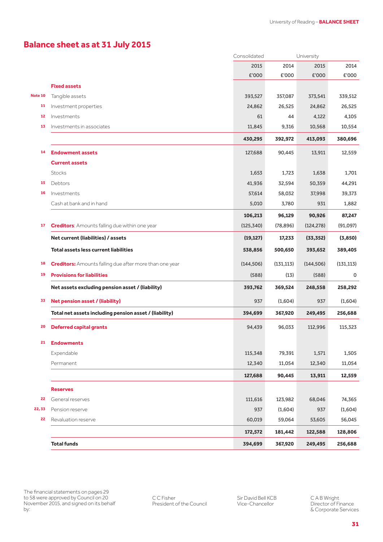## **Balance sheet as at 31 July 2015**

|         |                                                                | Consolidated |            | University |            |
|---------|----------------------------------------------------------------|--------------|------------|------------|------------|
|         |                                                                | 2015         | 2014       | 2015       | 2014       |
|         |                                                                | £'000        | £'000      | £'000      | £'000      |
|         | <b>Fixed assets</b>                                            |              |            |            |            |
| Note 10 | Tangible assets                                                | 393,527      | 357,087    | 373,541    | 339,512    |
| 11      | Investment properties                                          | 24,862       | 26,525     | 24,862     | 26,525     |
| 12      | Investments                                                    | 61           | 44         | 4,122      | 4,105      |
| 13      | Investments in associates                                      | 11,845       | 9,316      | 10,568     | 10,554     |
|         |                                                                | 430,295      | 392,972    | 413,093    | 380,696    |
| 14      | <b>Endowment assets</b>                                        | 127,688      | 90,445     | 13,911     | 12,559     |
|         | <b>Current assets</b>                                          |              |            |            |            |
|         | <b>Stocks</b>                                                  | 1,653        | 1,723      | 1,638      | 1,701      |
| 15      | Debtors                                                        | 41,936       | 32,594     | 50,359     | 44,291     |
| 16      | Investments                                                    | 57,614       | 58,032     | 37,998     | 39,373     |
|         | Cash at bank and in hand                                       | 5,010        | 3,780      | 931        | 1,882      |
|         |                                                                | 106,213      | 96,129     | 90,926     | 87,247     |
| 17      | <b>Creditors:</b> Amounts falling due within one year          | (125, 340)   | (78, 896)  | (124, 278) | (91,097)   |
|         | Net current (liabilities) / assets                             | (19, 127)    | 17,233     | (33, 352)  | (3,850)    |
|         | <b>Total assets less current liabilities</b>                   | 538,856      | 500,650    | 393,652    | 389,405    |
| 18      | <b>Creditors:</b> Amounts falling due after more than one year | (144, 506)   | (131, 113) | (144, 506) | (131, 113) |
| 19      | <b>Provisions for liabilities</b>                              | (588)        | (13)       | (588)      | 0          |
|         | Net assets excluding pension asset / (liability)               | 393,762      | 369,524    | 248,558    | 258,292    |
| 33      | Net pension asset / (liability)                                | 937          | (1,604)    | 937        | (1,604)    |
|         | Total net assets including pension asset / (liability)         | 394,699      | 367,920    | 249,495    | 256,688    |
| 20      | <b>Deferred capital grants</b>                                 | 94,439       | 96,033     | 112,996    | 115,323    |
| 21      | <b>Endowments</b>                                              |              |            |            |            |
|         | Expendable                                                     | 115,348      | 79,391     | 1,571      | 1,505      |
|         | Permanent                                                      | 12,340       | 11,054     | 12,340     | 11,054     |
|         |                                                                | 127,688      | 90,445     | 13,911     | 12,559     |
|         | <b>Reserves</b>                                                |              |            |            |            |
| 22      | General reserves                                               | 111,616      | 123,982    | 68,046     | 74,365     |
| 22,33   | Pension reserve                                                | 937          | (1,604)    | 937        | (1,604)    |
| 22      | Revaluation reserve                                            | 60,019       | 59,064     | 53,605     | 56,045     |
|         |                                                                | 172,572      | 181,442    | 122,588    | 128,806    |
|         | <b>Total funds</b>                                             | 394,699      | 367,920    | 249,495    | 256,688    |

Sir David Bell KCB Vice-Chancellor

C A B Wright Director of Finance & Corporate Services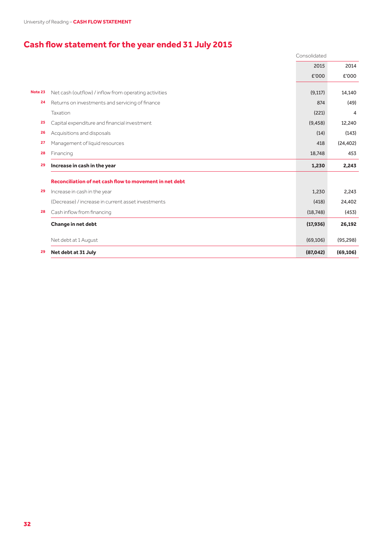University of Reading – **CASH FLOW STATEMENT**

## **Cash flow statement for the year ended 31 July 2015**

|         |                                                         | Consolidated |           |
|---------|---------------------------------------------------------|--------------|-----------|
|         |                                                         | 2015         | 2014      |
|         |                                                         | £'000        | £'000     |
| Note 23 | Net cash (outflow) / inflow from operating activities   | (9, 117)     | 14,140    |
| 24      | Returns on investments and servicing of finance         | 874          | (49)      |
|         | Taxation                                                | (221)        | 4         |
| 25      | Capital expenditure and financial investment            | (9, 458)     | 12,240    |
| 26      | Acquisitions and disposals                              | (14)         | (143)     |
| 27      | Management of liquid resources                          | 418          | (24, 402) |
| 28      | Financing                                               | 18,748       | 453       |
| 29      | Increase in cash in the year                            | 1,230        | 2,243     |
|         | Reconciliation of net cash flow to movement in net debt |              |           |
| 29      | Increase in cash in the year                            | 1,230        | 2,243     |
|         | (Decrease) / increase in current asset investments      | (418)        | 24,402    |
| 28      | Cash inflow from financing                              | (18, 748)    | (453)     |
|         | Change in net debt                                      | (17, 936)    | 26,192    |
|         | Net debt at 1 August                                    | (69, 106)    | (95, 298) |
| 29      | Net debt at 31 July                                     | (87, 042)    | (69, 106) |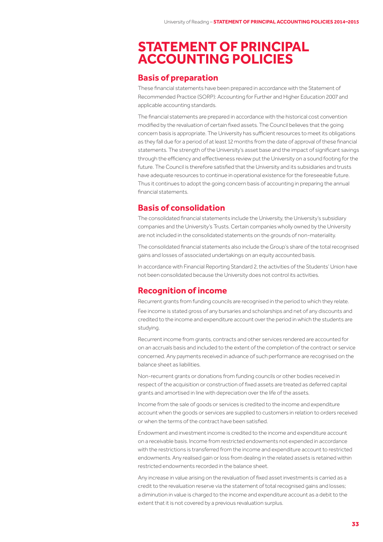## **STATEMENT OF PRINCIPAL ACCOUNTING POLICIES**

## **Basis of preparation**

These financial statements have been prepared in accordance with the Statement of Recommended Practice (SORP): Accounting for Further and Higher Education 2007 and applicable accounting standards.

The financial statements are prepared in accordance with the historical cost convention modified by the revaluation of certain fixed assets. The Council believes that the going concern basis is appropriate. The University has sufficient resources to meet its obligations as they fall due for a period of at least 12 months from the date of approval of these financial statements. The strength of the University's asset base and the impact of significant savings through the efficiency and effectiveness review put the University on a sound footing for the future. The Council is therefore satisfied that the University and its subsidiaries and trusts have adequate resources to continue in operational existence for the foreseeable future. Thus it continues to adopt the going concern basis of accounting in preparing the annual financial statements.

## **Basis of consolidation**

The consolidated financial statements include the University, the University's subsidiary companies and the University's Trusts. Certain companies wholly owned by the University are not included in the consolidated statements on the grounds of non-materiality.

The consolidated financial statements also include the Group's share of the total recognised gains and losses of associated undertakings on an equity accounted basis.

In accordance with Financial Reporting Standard 2, the activities of the Students' Union have not been consolidated because the University does not control its activities.

## **Recognition of income**

Recurrent grants from funding councils are recognised in the period to which they relate. Fee income is stated gross of any bursaries and scholarships and net of any discounts and credited to the income and expenditure account over the period in which the students are studying.

Recurrent income from grants, contracts and other services rendered are accounted for on an accruals basis and included to the extent of the completion of the contract or service concerned. Any payments received in advance of such performance are recognised on the balance sheet as liabilities.

Non-recurrent grants or donations from funding councils or other bodies received in respect of the acquisition or construction of fixed assets are treated as deferred capital grants and amortised in line with depreciation over the life of the assets.

Income from the sale of goods or services is credited to the income and expenditure account when the goods or services are supplied to customers in relation to orders received or when the terms of the contract have been satisfied.

Endowment and investment income is credited to the income and expenditure account on a receivable basis. Income from restricted endowments not expended in accordance with the restrictions is transferred from the income and expenditure account to restricted endowments. Any realised gain or loss from dealing in the related assets is retained within restricted endowments recorded in the balance sheet.

Any increase in value arising on the revaluation of fixed asset investments is carried as a credit to the revaluation reserve via the statement of total recognised gains and losses; a diminution in value is charged to the income and expenditure account as a debit to the extent that it is not covered by a previous revaluation surplus.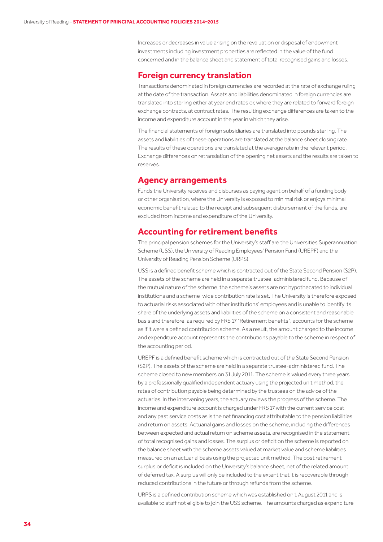Increases or decreases in value arising on the revaluation or disposal of endowment investments including investment properties are reflected in the value of the fund concerned and in the balance sheet and statement of total recognised gains and losses.

### **Foreign currency translation**

Transactions denominated in foreign currencies are recorded at the rate of exchange ruling at the date of the transaction. Assets and liabilities denominated in foreign currencies are translated into sterling either at year end rates or, where they are related to forward foreign exchange contracts, at contract rates. The resulting exchange differences are taken to the income and expenditure account in the year in which they arise.

The financial statements of foreign subsidiaries are translated into pounds sterling. The assets and liabilities of these operations are translated at the balance sheet closing rate. The results of these operations are translated at the average rate in the relevant period. Exchange differences on retranslation of the opening net assets and the results are taken to reserves.

#### **Agency arrangements**

Funds the University receives and disburses as paying agent on behalf of a funding body or other organisation, where the University is exposed to minimal risk or enjoys minimal economic benefit related to the receipt and subsequent disbursement of the funds, are excluded from income and expenditure of the University.

## **Accounting for retirement benefits**

The principal pension schemes for the University's staff are the Universities Superannuation Scheme (USS), the University of Reading Employees' Pension Fund (UREPF) and the University of Reading Pension Scheme (URPS).

USS is a defined benefit scheme which is contracted out of the State Second Pension (S2P). The assets of the scheme are held in a separate trustee-administered fund. Because of the mutual nature of the scheme, the scheme's assets are not hypothecated to individual institutions and a scheme-wide contribution rate is set. The University is therefore exposed to actuarial risks associated with other institutions' employees and is unable to identify its share of the underlying assets and liabilities of the scheme on a consistent and reasonable basis and therefore, as required by FRS 17 "Retirement benefits", accounts for the scheme as if it were a defined contribution scheme. As a result, the amount charged to the income and expenditure account represents the contributions payable to the scheme in respect of the accounting period.

UREPF is a defined benefit scheme which is contracted out of the State Second Pension (S2P). The assets of the scheme are held in a separate trustee-administered fund. The scheme closed to new members on 31 July 2011. The scheme is valued every three years by a professionally qualified independent actuary using the projected unit method, the rates of contribution payable being determined by the trustees on the advice of the actuaries. In the intervening years, the actuary reviews the progress of the scheme. The income and expenditure account is charged under FRS 17 with the current service cost and any past service costs as is the net financing cost attributable to the pension liabilities and return on assets. Actuarial gains and losses on the scheme, including the differences between expected and actual return on scheme assets, are recognised in the statement of total recognised gains and losses. The surplus or deficit on the scheme is reported on the balance sheet with the scheme assets valued at market value and scheme liabilities measured on an actuarial basis using the projected unit method. The post retirement surplus or deficit is included on the University's balance sheet, net of the related amount of deferred tax. A surplus will only be included to the extent that it is recoverable through reduced contributions in the future or through refunds from the scheme.

URPS is a defined contribution scheme which was established on 1 August 2011 and is available to staff not eligible to join the USS scheme. The amounts charged as expenditure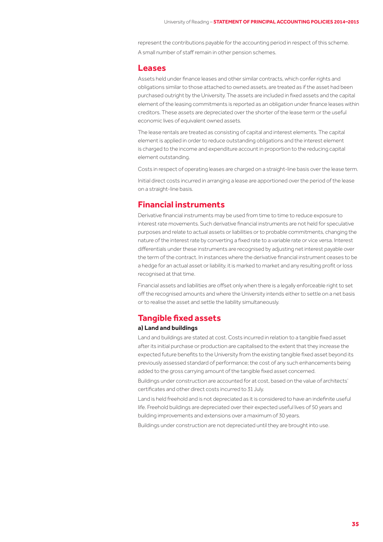represent the contributions payable for the accounting period in respect of this scheme. A small number of staff remain in other pension schemes.

#### **Leases**

Assets held under finance leases and other similar contracts, which confer rights and obligations similar to those attached to owned assets, are treated as if the asset had been purchased outright by the University. The assets are included in fixed assets and the capital element of the leasing commitments is reported as an obligation under finance leases within creditors. These assets are depreciated over the shorter of the lease term or the useful economic lives of equivalent owned assets.

The lease rentals are treated as consisting of capital and interest elements. The capital element is applied in order to reduce outstanding obligations and the interest element is charged to the income and expenditure account in proportion to the reducing capital element outstanding.

Costs in respect of operating leases are charged on a straight-line basis over the lease term.

Initial direct costs incurred in arranging a lease are apportioned over the period of the lease on a straight-line basis.

### **Financial instruments**

Derivative financial instruments may be used from time to time to reduce exposure to interest rate movements. Such derivative financial instruments are not held for speculative purposes and relate to actual assets or liabilities or to probable commitments, changing the nature of the interest rate by converting a fixed rate to a variable rate or vice versa. Interest differentials under these instruments are recognised by adjusting net interest payable over the term of the contract. In instances where the derivative financial instrument ceases to be a hedge for an actual asset or liability, it is marked to market and any resulting profit or loss recognised at that time.

Financial assets and liabilities are offset only when there is a legally enforceable right to set off the recognised amounts and where the University intends either to settle on a net basis or to realise the asset and settle the liability simultaneously.

## **Tangible fixed assets**

#### **a) Land and buildings**

Land and buildings are stated at cost. Costs incurred in relation to a tangible fixed asset after its initial purchase or production are capitalised to the extent that they increase the expected future benefits to the University from the existing tangible fixed asset beyond its previously assessed standard of performance; the cost of any such enhancements being added to the gross carrying amount of the tangible fixed asset concerned.

Buildings under construction are accounted for at cost, based on the value of architects' certificates and other direct costs incurred to 31 July.

Land is held freehold and is not depreciated as it is considered to have an indefinite useful life. Freehold buildings are depreciated over their expected useful lives of 50 years and building improvements and extensions over a maximum of 30 years.

Buildings under construction are not depreciated until they are brought into use.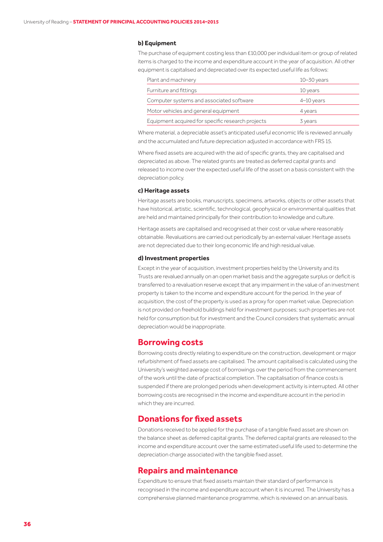#### **b) Equipment**

The purchase of equipment costing less than £10,000 per individual item or group of related items is charged to the income and expenditure account in the year of acquisition. All other equipment is capitalised and depreciated over its expected useful life as follows:

| Plant and machinery                               | $10 - 30$ years |
|---------------------------------------------------|-----------------|
| Furniture and fittings                            | 10 years        |
| Computer systems and associated software          | $4-10$ years    |
| Motor vehicles and general equipment              | 4 years         |
| Equipment acquired for specific research projects | 3 years         |

Where material, a depreciable asset's anticipated useful economic life is reviewed annually and the accumulated and future depreciation adjusted in accordance with FRS 15.

Where fixed assets are acquired with the aid of specific grants, they are capitalised and depreciated as above. The related grants are treated as deferred capital grants and released to income over the expected useful life of the asset on a basis consistent with the depreciation policy.

#### **c) Heritage assets**

Heritage assets are books, manuscripts, specimens, artworks, objects or other assets that have historical, artistic, scientific, technological, geophysical or environmental qualities that are held and maintained principally for their contribution to knowledge and culture.

Heritage assets are capitalised and recognised at their cost or value where reasonably obtainable. Revaluations are carried out periodically by an external valuer. Heritage assets are not depreciated due to their long economic life and high residual value.

#### **d) Investment properties**

Except in the year of acquisition, investment properties held by the University and its Trusts are revalued annually on an open market basis and the aggregate surplus or deficit is transferred to a revaluation reserve except that any impairment in the value of an investment property is taken to the income and expenditure account for the period. In the year of acquisition, the cost of the property is used as a proxy for open market value. Depreciation is not provided on freehold buildings held for investment purposes; such properties are not held for consumption but for investment and the Council considers that systematic annual depreciation would be inappropriate.

### **Borrowing costs**

Borrowing costs directly relating to expenditure on the construction, development or major refurbishment of fixed assets are capitalised. The amount capitalised is calculated using the University's weighted average cost of borrowings over the period from the commencement of the work until the date of practical completion. The capitalisation of finance costs is suspended if there are prolonged periods when development activity is interrupted. All other borrowing costs are recognised in the income and expenditure account in the period in which they are incurred.

## **Donations for fixed assets**

Donations received to be applied for the purchase of a tangible fixed asset are shown on the balance sheet as deferred capital grants. The deferred capital grants are released to the income and expenditure account over the same estimated useful life used to determine the depreciation charge associated with the tangible fixed asset.

### **Repairs and maintenance**

Expenditure to ensure that fixed assets maintain their standard of performance is recognised in the income and expenditure account when it is incurred. The University has a comprehensive planned maintenance programme, which is reviewed on an annual basis.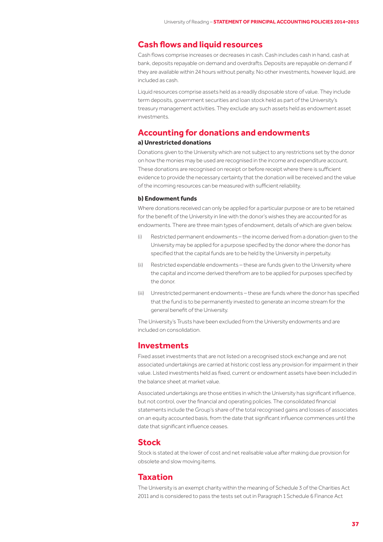## **Cash flows and liquid resources**

Cash flows comprise increases or decreases in cash. Cash includes cash in hand, cash at bank, deposits repayable on demand and overdrafts. Deposits are repayable on demand if they are available within 24 hours without penalty. No other investments, however liquid, are included as cash.

Liquid resources comprise assets held as a readily disposable store of value. They include term deposits, government securities and loan stock held as part of the University's treasury management activities. They exclude any such assets held as endowment asset investments.

### **Accounting for donations and endowments**

#### **a) Unrestricted donations**

Donations given to the University which are not subject to any restrictions set by the donor on how the monies may be used are recognised in the income and expenditure account. These donations are recognised on receipt or before receipt where there is sufficient evidence to provide the necessary certainty that the donation will be received and the value of the incoming resources can be measured with sufficient reliability.

#### **b) Endowment funds**

Where donations received can only be applied for a particular purpose or are to be retained for the benefit of the University in line with the donor's wishes they are accounted for as endowments. There are three main types of endowment, details of which are given below.

- Restricted permanent endowments the income derived from a donation given to the University may be applied for a purpose specified by the donor where the donor has specified that the capital funds are to be held by the University in perpetuity. (i)
- Restricted expendable endowments these are funds given to the University where the capital and income derived therefrom are to be applied for purposes specified by the donor. (ii)
- Unrestricted permanent endowments these are funds where the donor has specified (iii)that the fund is to be permanently invested to generate an income stream for the general benefit of the University.

The University's Trusts have been excluded from the University endowments and are included on consolidation.

## **Investments**

Fixed asset investments that are not listed on a recognised stock exchange and are not associated undertakings are carried at historic cost less any provision for impairment in their value. Listed investments held as fixed, current or endowment assets have been included in the balance sheet at market value.

Associated undertakings are those entities in which the University has significant influence, but not control, over the financial and operating policies. The consolidated financial statements include the Group's share of the total recognised gains and losses of associates on an equity accounted basis, from the date that significant influence commences until the date that significant influence ceases.

#### **Stock**

Stock is stated at the lower of cost and net realisable value after making due provision for obsolete and slow moving items.

## **Taxation**

The University is an exempt charity within the meaning of Schedule 3 of the Charities Act 2011 and is considered to pass the tests set out in Paragraph 1 Schedule 6 Finance Act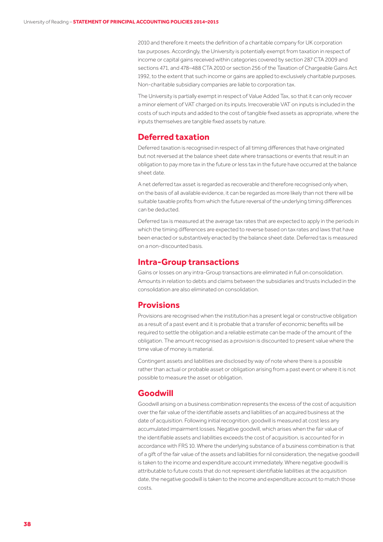2010 and therefore it meets the definition of a charitable company for UK corporation tax purposes. Accordingly, the University is potentially exempt from taxation in respect of income or capital gains received within categories covered by section 287 CTA 2009 and sections 471, and 478–488 CTA 2010 or section 256 of the Taxation of Chargeable Gains Act 1992, to the extent that such income or gains are applied to exclusively charitable purposes. Non-charitable subsidiary companies are liable to corporation tax.

The University is partially exempt in respect of Value Added Tax, so that it can only recover a minor element of VAT charged on its inputs. Irrecoverable VAT on inputs is included in the costs of such inputs and added to the cost of tangible fixed assets as appropriate, where the inputs themselves are tangible fixed assets by nature.

## **Deferred taxation**

Deferred taxation is recognised in respect of all timing differences that have originated but not reversed at the balance sheet date where transactions or events that result in an obligation to pay more tax in the future or less tax in the future have occurred at the balance sheet date.

A net deferred tax asset is regarded as recoverable and therefore recognised only when, on the basis of all available evidence, it can be regarded as more likely than not there will be suitable taxable profits from which the future reversal of the underlying timing differences can be deducted.

Deferred tax is measured at the average tax rates that are expected to apply in the periods in which the timing differences are expected to reverse based on tax rates and laws that have been enacted or substantively enacted by the balance sheet date. Deferred tax is measured on a non-discounted basis.

### **Intra-Group transactions**

Gains or losses on any intra-Group transactions are eliminated in full on consolidation. Amounts in relation to debts and claims between the subsidiaries and trusts included in the consolidation are also eliminated on consolidation.

## **Provisions**

Provisions are recognised when the institution has a present legal or constructive obligation as a result of a past event and it is probable that a transfer of economic benefits will be required to settle the obligation and a reliable estimate can be made of the amount of the obligation. The amount recognised as a provision is discounted to present value where the time value of money is material.

Contingent assets and liabilities are disclosed by way of note where there is a possible rather than actual or probable asset or obligation arising from a past event or where it is not possible to measure the asset or obligation.

## **Goodwill**

Goodwill arising on a business combination represents the excess of the cost of acquisition over the fair value of the identifiable assets and liabilities of an acquired business at the date of acquisition. Following initial recognition, goodwill is measured at cost less any accumulated impairment losses. Negative goodwill, which arises when the fair value of the identifiable assets and liabilities exceeds the cost of acquisition, is accounted for in accordance with FRS 10. Where the underlying substance of a business combination is that of a gift of the fair value of the assets and liabilities for nil consideration, the negative goodwill is taken to the income and expenditure account immediately. Where negative goodwill is attributable to future costs that do not represent identifiable liabilities at the acquisition date, the negative goodwill is taken to the income and expenditure account to match those costs.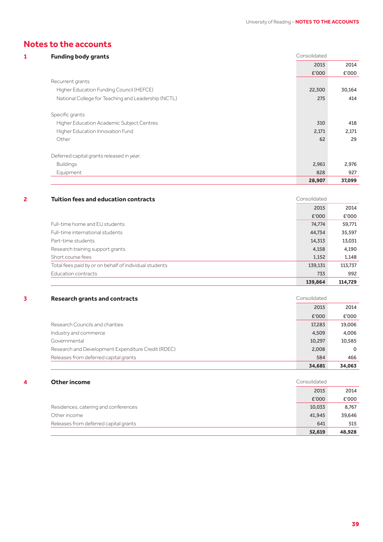## **Notes to the accounts**

| <b>Funding body</b> |  |  |
|---------------------|--|--|
|                     |  |  |

| <b>Funding body grants</b>                          | Consolidated |        |
|-----------------------------------------------------|--------------|--------|
|                                                     | 2015         | 2014   |
|                                                     | £'000        | £'000  |
| Recurrent grants                                    |              |        |
| Higher Education Funding Council (HEFCE)            | 22,300       | 30,164 |
| National College for Teaching and Leadership (NCTL) | 275          | 414    |
| Specific grants                                     |              |        |
| Higher Education Academic Subject Centres           | 310          | 418    |
| Higher Education Innovation Fund                    | 2,171        | 2,171  |
| Other                                               | 62           | 29     |
| Deferred capital grants released in year:           |              |        |
| <b>Buildings</b>                                    | 2,961        | 2,976  |
| Equipment                                           | 828          | 927    |
|                                                     | 28,907       | 37,099 |

### **2 1 Tuition fees and education contracts Consolidated Consolidated**

|                                                        | 139,864 | 114,729 |
|--------------------------------------------------------|---------|---------|
| Education contracts                                    | 733     | 992     |
| Total fees paid by or on behalf of individual students | 139,131 | 113,737 |
| Short course fees                                      | 1.152   | 1,148   |
| Research training support grants                       | 4,158   | 4,190   |
| Part-time students                                     | 14,313  | 13,031  |
| Full-time international students                       | 44.734  | 35,597  |
| Full-time home and EU students                         | 74,774  | 59,771  |
|                                                        | £'000   | £'000   |
|                                                        | 2015    | 2014    |
|                                                        |         |         |

#### **3 Research grants and contracts Consolidated Consolidated**

|                                                    | 2015   | 2014     |
|----------------------------------------------------|--------|----------|
|                                                    | £'000  | £'000    |
| Research Councils and charities                    | 17,283 | 19,006   |
| Industry and commerce                              | 4,509  | 4,006    |
| Governmental                                       | 10.297 | 10,585   |
| Research and Development Expenditure Credit (RDEC) | 2,008  | $\Omega$ |
| Releases from deferred capital grants              | 584    | 466      |
|                                                    | 34,681 | 34,063   |

#### **4 Other income Consolidated**

|                                       | 641    |        |
|---------------------------------------|--------|--------|
| Releases from deferred capital grants |        | 515    |
| Other income                          | 41.945 | 39,646 |
| Residences, catering and conferences  | 10,033 | 8,767  |
|                                       | £'000  | £'000  |
|                                       | 2015   | 2014   |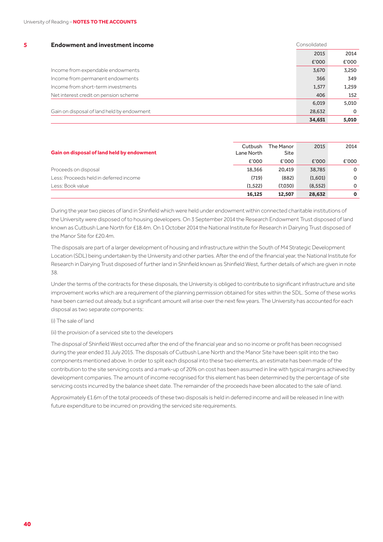| 5 | <b>Endowment and investment income</b>     | Consolidated |         |
|---|--------------------------------------------|--------------|---------|
|   |                                            | 2015         | 2014    |
|   |                                            | £'000        | £'000   |
|   | Income from expendable endowments          | 3,670        | 3.250   |
|   | Income from permanent endowments           | 366          | 349     |
|   | Income from short-term investments         | 1,577        | 1,259   |
|   | Net interest credit on pension scheme      | 406          | 152     |
|   |                                            | 6.019        | 5.010   |
|   | Gain on disposal of land held by endowment | 28,632       | $\circ$ |
|   |                                            | 34,651       | 5,010   |

| Gain on disposal of land held by endowment | Cutbush<br>Lane North | The Manor<br>Site | 2015     | 2014     |
|--------------------------------------------|-----------------------|-------------------|----------|----------|
|                                            | £'000                 | £'000             | E'000    | £'000    |
| Proceeds on disposal                       | 18.366                | 20.419            | 38,785   | $\Omega$ |
| Less: Proceeds held in deferred income     | (719)                 | (882)             | (1,601)  | $\Omega$ |
| Less: Book value                           | (1.522)               | (7,030)           | (8, 552) | 0        |
|                                            | 16,125                | 12.507            | 28,632   | 0        |

During the year two pieces of land in Shinfield which were held under endowment within connected charitable institutions of the University were disposed of to housing developers. On 3 September 2014 the Research Endowment Trust disposed of land known as Cutbush Lane North for £18.4m. On 1 October 2014 the National Institute for Research in Dairying Trust disposed of the Manor Site for £20.4m.

The disposals are part of a larger development of housing and infrastructure within the South of M4 Strategic Development Location (SDL) being undertaken by the University and other parties. After the end of the financial year, the National Institute for Research in Dairying Trust disposed of further land in Shinfield known as Shinfield West, further details of which are given in note 38.

Under the terms of the contracts for these disposals, the University is obliged to contribute to significant infrastructure and site improvement works which are a requirement of the planning permission obtained for sites within the SDL. Some of these works have been carried out already, but a significant amount will arise over the next few years. The University has accounted for each disposal as two separate components:

(i) The sale of land

(ii) the provision of a serviced site to the developers

The disposal of Shinfield West occurred after the end of the financial year and so no income or profit has been recognised during the year ended 31 July 2015. The disposals of Cutbush Lane North and the Manor Site have been split into the two components mentioned above. In order to split each disposal into these two elements, an estimate has been made of the contribution to the site servicing costs and a mark-up of 20% on cost has been assumed in line with typical margins achieved by development companies. The amount of income recognised for this element has been determined by the percentage of site servicing costs incurred by the balance sheet date. The remainder of the proceeds have been allocated to the sale of land.

Approximately £1.6m of the total proceeds of these two disposals is held in deferred income and will be released in line with future expenditure to be incurred on providing the serviced site requirements.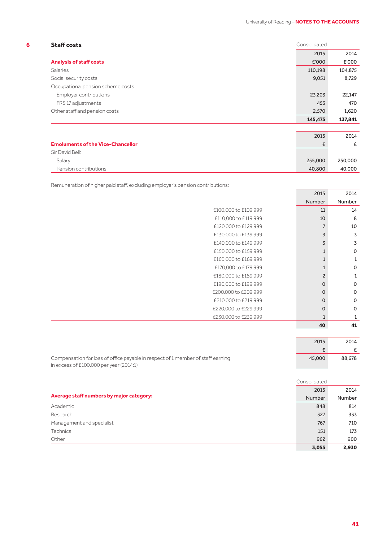$\sim$ 

| 6 | <b>Staff costs</b>                | Consolidated |         |
|---|-----------------------------------|--------------|---------|
|   |                                   | 2015         | 2014    |
|   | <b>Analysis of staff costs</b>    | £'000        | £'000   |
|   | <b>Salaries</b>                   | 110,198      | 104,875 |
|   | Social security costs             | 9,051        | 8.729   |
|   | Occupational pension scheme costs |              |         |
|   | Employer contributions            | 23,203       | 22,147  |
|   | FRS 17 adjustments                | 453          | 470     |
|   | Other staff and pension costs     | 2,570        | 1,620   |
|   |                                   | 145,475      | 137,841 |

|                                          | 2015    | 2014    |
|------------------------------------------|---------|---------|
| <b>Emoluments of the Vice-Chancellor</b> |         |         |
|                                          |         |         |
| Sir David Bell:                          |         |         |
| Salary                                   | 255,000 | 250,000 |
| Pension contributions                    | 40,800  | 40,000  |

Remuneration of higher paid staff, excluding employer's pension contributions:

| 2015           |        |                      |
|----------------|--------|----------------------|
| Number         | Number |                      |
| 11             |        | £100,000 to £109,999 |
| 10             |        | £110,000 to £119,999 |
| $\overline{7}$ |        | £120,000 to £129,999 |
| 3              |        | £130,000 to £139,999 |
| 3              |        | £140,000 to £149,999 |
| $\mathbf{1}$   |        | £150,000 to £159,999 |
| $\mathbf{1}$   |        | £160,000 to £169,999 |
| $\mathbf{1}$   |        | £170,000 to £179,999 |
| $\overline{c}$ |        | £180,000 to £189,999 |
| $\mathbf{O}$   |        | £190,000 to £199,999 |
| $\mathbf 0$    |        | £200,000 to £209,999 |
| $\mathbf{O}$   |        | £210,000 to £219,999 |
| 0              |        | £220,000 to £229,999 |
| $\mathbf{1}$   |        | £230,000 to £239,999 |
| 40             |        |                      |
|                |        |                      |

|                                                                                 | 2015   | 2014   |
|---------------------------------------------------------------------------------|--------|--------|
|                                                                                 |        |        |
| Compensation for loss of office payable in respect of 1 member of staff earning | 45,000 | 88.678 |
| in excess of $£100,000$ per year $(2014:1)$                                     |        |        |

|                                          | Consolidated  |        |
|------------------------------------------|---------------|--------|
|                                          | 2015          | 2014   |
| Average staff numbers by major category: | <b>Number</b> | Number |
| Academic                                 | 848           | 814    |
| Research                                 | 327           | 333    |
| Management and specialist                | 767           | 710    |
| Technical                                | 151           | 173    |
| Other                                    | 962           | 900    |
|                                          | 3,055         | 2,930  |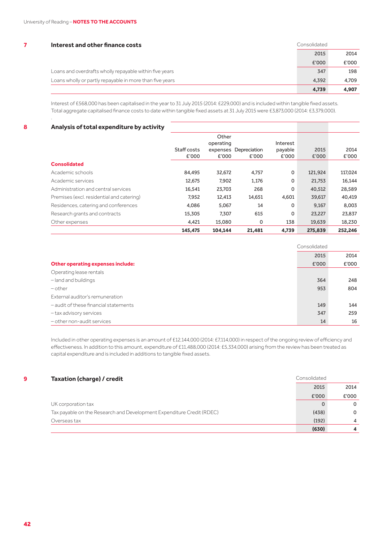| Interest and other finance costs                         | Consolidated |       |
|----------------------------------------------------------|--------------|-------|
|                                                          | 2015         | 2014  |
|                                                          | £'000        | £'000 |
| Loans and overdrafts wholly repayable within five years  | 347          | 198   |
| Loans wholly or partly repayable in more than five years | 4.392        | 4.709 |
|                                                          | 4.739        | 4.907 |

Interest of £568,000 has been capitalised in the year to 31 July 2015 (2014: £229,000) and is included within tangible fixed assets. Total aggregate capitalised finance costs to date within tangible fixed assets at 31 July 2015 were £3,873,000 (2014: £3,379,000).

#### **8 Analysis of total expenditure by activity**

|                                           |             | Other     |                       |          |         |         |
|-------------------------------------------|-------------|-----------|-----------------------|----------|---------|---------|
|                                           |             | operating |                       | Interest |         |         |
|                                           | Staff costs |           | expenses Depreciation | payable  | 2015    | 2014    |
|                                           | £'000       | £'000     | £'000                 | £'000    | E'000   | £'000   |
| <b>Consolidated</b>                       |             |           |                       |          |         |         |
| Academic schools                          | 84,495      | 32,672    | 4,757                 | 0        | 121,924 | 117,024 |
| Academic services                         | 12,675      | 7,902     | 1,176                 | 0        | 21,753  | 16,144  |
| Administration and central services       | 16,541      | 23,703    | 268                   | 0        | 40,512  | 28,589  |
| Premises (excl. residential and catering) | 7,952       | 12,413    | 14,651                | 4,601    | 39,617  | 40,419  |
| Residences, catering and conferences      | 4.086       | 5,067     | 14                    | 0        | 9,167   | 8,003   |
| Research grants and contracts             | 15,305      | 7,307     | 615                   | 0        | 23,227  | 23,837  |
| Other expenses                            | 4,421       | 15,080    | 0                     | 138      | 19,639  | 18,230  |
|                                           | 145,475     | 104.144   | 21,481                | 4,739    | 275,839 | 252.246 |

|                                          | Consolidated |       |  |
|------------------------------------------|--------------|-------|--|
|                                          | 2015         | 2014  |  |
| <b>Other operating expenses include:</b> | £'000        | £'000 |  |
| Operating lease rentals                  |              |       |  |
| -land and buildings                      | 364          | 248   |  |
| $-\text{other}$                          | 953          | 804   |  |
| External auditor's remuneration          |              |       |  |
| - audit of these financial statements    | 149          | 144   |  |
| -tax advisory services                   | 347          | 259   |  |
| - other non-audit services               | 14           | 16    |  |

Included in other operating expenses is an amount of £12,144,000 (2014: £7,114,000) in respect of the ongoing review of efficiency and effectiveness. In addition to this amount, expenditure of £11,488,000 (2014: £5,334,000) arising from the review has been treated as capital expenditure and is included in additions to tangible fixed assets.

| 9 | <b>Taxation (charge) / credit</b>                                     | Consolidated |                |
|---|-----------------------------------------------------------------------|--------------|----------------|
|   |                                                                       | 2015         | 2014           |
|   |                                                                       | £'000        | £'000          |
|   | UK corporation tax                                                    | $\Omega$     | $\Omega$       |
|   | Tax payable on the Research and Development Expenditure Credit (RDEC) | (438)        | $\Omega$       |
|   | Overseas tax                                                          | (192)        | $\overline{4}$ |
|   |                                                                       | (630)        | 4              |

.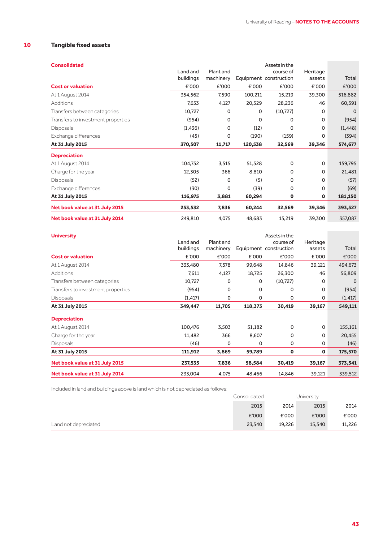## **10 Tangible fixed assets**

|           |           |           | Assets in the |                                     |          |
|-----------|-----------|-----------|---------------|-------------------------------------|----------|
| buildings | machinery |           |               | assets                              | Total    |
| £'000     | £'000     | £'000     | £'000         | £'000                               | £'000    |
| 354,562   | 7,590     | 100,211   | 15,219        | 39,300                              | 516,882  |
| 7,653     | 4,127     | 20,529    | 28,236        | 46                                  | 60,591   |
| 10,727    | 0         | 0         | (10, 727)     | 0                                   | $\Omega$ |
| (954)     | 0         | $\Omega$  | 0             | 0                                   | (954)    |
| (1, 436)  | 0         | (12)      | 0             | 0                                   | (1, 448) |
| (45)      | 0         | (190)     | (159)         | 0                                   | (394)    |
| 370,507   | 11,717    | 120,538   | 32,569        | 39,346                              | 574,677  |
|           |           |           |               |                                     |          |
| 104,752   | 3,515     | 51,528    | 0             | $\mathbf 0$                         | 159,795  |
| 12,305    | 366       | 8,810     | 0             | 0                                   | 21,481   |
| (52)      | 0         | (5)       | 0             | 0                                   | (57)     |
| (30)      | 0         | (39)      | 0             | 0                                   | (69)     |
| 116,975   | 3,881     | 60,294    | $\mathbf 0$   | 0                                   | 181,150  |
| 253,532   | 7,836     | 60,244    | 32,569        | 39,346                              | 393,527  |
| 249,810   | 4,075     | 48,683    | 15,219        | 39,300                              | 357,087  |
|           | Land and  | Plant and |               | course of<br>Equipment construction | Heritage |

| <b>University</b>                  | Land and  | Plant and |         | Assets in the<br>course of | Heritage    |          |
|------------------------------------|-----------|-----------|---------|----------------------------|-------------|----------|
|                                    | buildings | machinery |         | Equipment construction     | assets      | Total    |
| <b>Cost or valuation</b>           | £'000     | £'000     | £'000   | £'000                      | £'000       | £'000    |
| At 1 August 2014                   | 333,480   | 7,578     | 99,648  | 14,846                     | 39,121      | 494,673  |
| Additions                          | 7,611     | 4,127     | 18,725  | 26,300                     | 46          | 56,809   |
| Transfers between categories       | 10,727    | 0         | 0       | (10, 727)                  | 0           | $\Omega$ |
| Transfers to investment properties | (954)     | 0         | 0       | 0                          | 0           | (954)    |
| <b>Disposals</b>                   | (1, 417)  | 0         | 0       | 0                          | 0           | (1, 417) |
| At 31 July 2015                    | 349,447   | 11,705    | 118,373 | 30,419                     | 39,167      | 549,111  |
| <b>Depreciation</b>                |           |           |         |                            |             |          |
| At 1 August 2014                   | 100,476   | 3,503     | 51,182  | 0                          | $\mathbf 0$ | 155,161  |
| Charge for the year                | 11,482    | 366       | 8,607   | 0                          | 0           | 20,455   |
| <b>Disposals</b>                   | (46)      | $\Omega$  | 0       | 0                          | $\mathbf 0$ | (46)     |
| At 31 July 2015                    | 111,912   | 3,869     | 59,789  | O                          | $\mathbf 0$ | 175,570  |
| Net book value at 31 July 2015     | 237,535   | 7,836     | 58,584  | 30,419                     | 39,167      | 373,541  |
| Net book value at 31 July 2014     | 233,004   | 4,075     | 48,466  | 14,846                     | 39,121      | 339,512  |
|                                    |           |           |         |                            |             |          |

Included in land and buildings above is land which is not depreciated as follows:

|                      | Consolidated |        | University |        |
|----------------------|--------------|--------|------------|--------|
|                      | 2015         | 2014   | 2015       | 2014   |
|                      | £'000        | £'000  | £'000      | £'000  |
| Land not depreciated | 23,540       | 19,226 | 15,540     | 11,226 |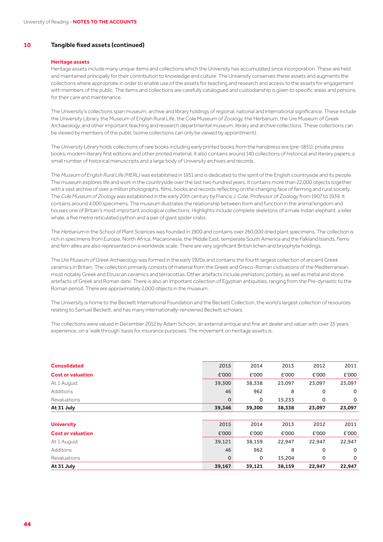#### **10 Tangible fixed assets (continued)**

#### **Heritage assets**

Heritage assets include many unique items and collections which the University has accumulated since incorporation. These are held and maintained principally for their contribution to knowledge and culture. The University conserves these assets and augments the collections where appropriate in order to enable use of the assets for teaching and research and access to the assets for engagement with members of the public. The items and collections are carefully catalogued and custodianship is given to specific areas and persons for their care and maintenance.

The University's collections span museum, archive and library holdings of regional, national and international significance. These include the University Library, the Museum of English Rural Life, the Cole Museum of Zoology, the Herbarium, the Ure Museum of Greek Archaeology, and other important teaching and research departmental museum, library and archive collections. These collections can be viewed by members of the public (some collections can only be viewed by appointment).

The *University Library* holds collections of rare books including early printed books from the handpress era (pre-1851), private press books, modern literary first editions and other printed material. It also contains around 140 collections of historical and literary papers, a small number of historical manuscripts and a large body of University archives and records.

The *Museum of English Rural Life (MERL)* was established in 1951 and is dedicated to the spirit of the English countryside and its people. The museum explores life and work in the countryside over the last two hundred years. It contains more than 22,000 objects together with a vast archive of over a million photographs, films, books and records reflecting on the changing face of farming and rural society. The *Cole Museum of Zoology* was established in the early 20th century by Francis J. Cole, Professor of Zoology from 1907 to 1939. It contains around 4,000 specimens. The museum illustrates the relationship between form and function in the animal kingdom and houses one of Britain's most important zoological collections. Highlights include complete skeletons of a male Indian elephant, a killer whale, a five metre reticulated python and a pair of giant spider crabs.

The *Herbarium* in the School of Plant Sciences was founded in 1900 and contains over 260,000 dried plant specimens. The collection is rich in specimens from Europe, North Africa, Macaronesia, the Middle East, temperate South America and the Falkland Islands. Ferns and fern allies are also represented on a worldwide scale. There are very significant British lichen and bryophyte holdings.

The *Ure Museum ofGreek Archaeology* was formed in the early 1920s and contains the fourth largest collection of ancient Greek ceramics in Britain. The collection primarily consists of material from the Greek and Greco-Roman civilisations of the Mediterranean, most notably Greek and Etruscan ceramics and terracottas. Other artefacts include prehistoric pottery, as well as metal and stone artefacts of Greek and Roman date. There is also an important collection of Egyptian antiquities, ranging from the Pre-dynastic to the Roman period. There are approximately 2,000 objects in the museum.

The University is home to the Beckett International Foundation and the Beckett Collection, the world's largest collection of resources relating to Samuel Beckett, and has many internationally-renowned Beckett scholars.

The collections were valued in December 2012 by Adam Schoon, an external antique and fine art dealer and valuer with over 35 years' experience, on a 'walk through' basis for insurance purposes. The movement on heritage assets is:

| <b>Consolidated</b>      | 2015        | 2014        | 2013   | 2012   | 2011        |
|--------------------------|-------------|-------------|--------|--------|-------------|
| <b>Cost or valuation</b> | £'000       | £'000       | £'000  | £'000  | £'000       |
| At 1 August              | 39,300      | 38,338      | 23,097 | 23,097 | 23,097      |
| <b>Additions</b>         | 46          | 962         | 8      | 0      | $\mathbf 0$ |
| Revaluations             | $\mathbf 0$ | 0           | 15,233 | 0      | 0           |
| At 31 July               | 39,346      | 39,300      | 38,338 | 23,097 | 23,097      |
|                          |             |             |        |        |             |
| <b>University</b>        | 2015        | 2014        | 2013   | 2012   | 2011        |
| <b>Cost or valuation</b> | £'000       | £'000       | £'000  | £'000  | £'000       |
| At 1 August              | 39,121      | 38,159      | 22,947 | 22,947 | 22,947      |
| Additons                 | 46          | 962         | 8      | 0      | $\mathbf 0$ |
| Revaluations             | $\mathbf 0$ | $\mathbf 0$ | 15,204 | 0      | 0           |
| At 31 July               | 39,167      | 39,121      | 38,159 | 22,947 | 22,947      |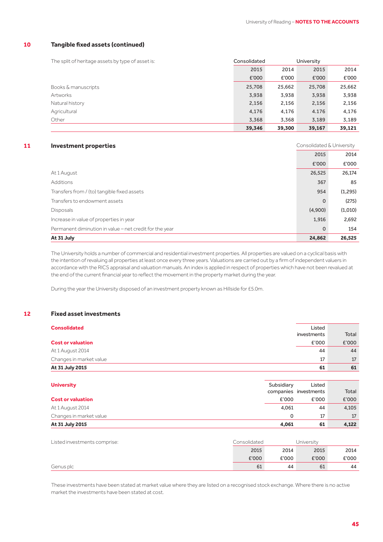#### **10 Tangible fixed assets (continued)**

| The split of heritage assets by type of asset is: | Consolidated |        | University |        |
|---------------------------------------------------|--------------|--------|------------|--------|
|                                                   | 2015         | 2014   | 2015       | 2014   |
|                                                   | £'000        | £'000  | £'000      | £'000  |
| Books & manuscripts                               | 25,708       | 25,662 | 25,708     | 25,662 |
| Artworks                                          | 3,938        | 3,938  | 3,938      | 3,938  |
| Natural history                                   | 2,156        | 2,156  | 2,156      | 2,156  |
| Agricultural                                      | 4,176        | 4,176  | 4.176      | 4,176  |
| Other                                             | 3,368        | 3,368  | 3,189      | 3,189  |
|                                                   | 39,346       | 39,300 | 39,167     | 39,121 |

## **11 Investment properties 11** Consolidated & University

|                                                         | 2015        | 2014     |
|---------------------------------------------------------|-------------|----------|
|                                                         | £'000       | £'000    |
| At 1 August                                             | 26,525      | 26,174   |
| Additions                                               | 367         | 85       |
| Transfers from / (to) tangible fixed assets             | 954         | (1, 295) |
| Transfers to endowment assets                           | $\mathbf 0$ | (275)    |
| <b>Disposals</b>                                        | (4,900)     | (1,010)  |
| Increase in value of properties in year                 | 1,916       | 2,692    |
| Permanent diminution in value - net credit for the year | $\mathbf 0$ | 154      |
| At 31 July                                              | 24,862      | 26,525   |

The University holds a number of commercial and residential investment properties. All properties are valued on a cyclical basis with the intention of revaluing all properties at least once every three years. Valuations are carried out by a firm of independent valuers in accordance with the RICS appraisal and valuation manuals. An index is applied in respect of properties which have not been revalued at the end of the current financial year to reflect the movement in the property market during the year.

During the year the University disposed of an investment property known as Hillside for £5.0m.

#### **12 Fixed asset investments**

| <b>Consolidated</b>      | Listed      |       |
|--------------------------|-------------|-------|
|                          | investments | Total |
| <b>Cost or valuation</b> | £'000       | E'000 |
| At 1 August 2014         | 44          | 44    |
| Changes in market value  | 17          | 17    |
| At 31 July 2015          | 61          | 61    |
|                          |             |       |

| <b>University</b>        | Subsidiary | Listed<br>companies investments | Total |
|--------------------------|------------|---------------------------------|-------|
| <b>Cost or valuation</b> | £'000      | £'000                           | E'000 |
| At 1 August 2014         | 4.061      | 44                              | 4,105 |
| Changes in market value  | 0          | 17                              | 17    |
| At 31 July 2015          | 4,061      | 61                              | 4,122 |

| Listed investments comprise: | Consolidated |       | Universitv |       |
|------------------------------|--------------|-------|------------|-------|
|                              | 2015         | 2014  | 2015       | 2014  |
|                              | £'000        | £'000 | £'000      | £'000 |
| Genus plc                    | 61           | 44    | 61         | 44    |

These investments have been stated at market value where they are listed on a recognised stock exchange. Where there is no active market the investments have been stated at cost.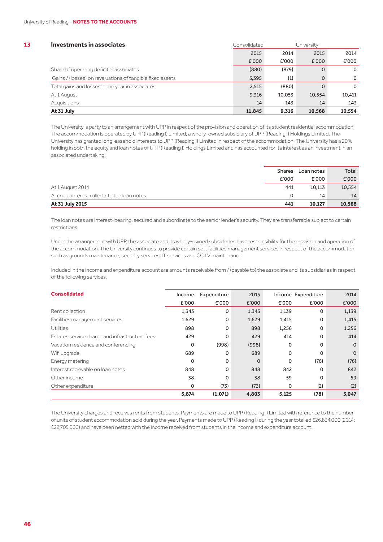| 13 | Investments in associates                                 | Consolidated |        | University  |              |
|----|-----------------------------------------------------------|--------------|--------|-------------|--------------|
|    |                                                           | 2015         | 2014   | 2015        | 2014         |
|    |                                                           | £'000        | £'000  | £'000       | £'000        |
|    | Share of operating deficit in associates                  | (880)        | (879)  | $\Omega$    | $\mathbf{O}$ |
|    | Gains / (losses) on revaluations of tangible fixed assets | 3.395        | (1)    | $\mathbf 0$ | $\Omega$     |
|    | Total gains and losses in the year in associates          | 2,515        | (880)  | $\Omega$    | $\Omega$     |
|    | At 1 August                                               | 9,316        | 10,053 | 10.554      | 10,411       |
|    | Acquisitions                                              | 14           | 143    | 14          | 143          |
|    | At 31 July                                                | 11,845       | 9.316  | 10.568      | 10,554       |

The University is party to an arrangement with UPP in respect of the provision and operation of its student residential accommodation. The accommodation is operated by UPP (Reading I) Limited, a wholly-owned subsidiary of UPP (Reading I) Holdings Limited. The University has granted long leasehold interests to UPP (Reading I) Limited in respect of the accommodation. The University has a 20% holding in both the equity and loan notes of UPP (Reading I) Holdings Limited and has accounted for its interest as an investment in an associated undertaking.

| At 31 July 2015                             | 441           | 10.127     | 10,568 |
|---------------------------------------------|---------------|------------|--------|
| Accrued interest rolled into the loan notes |               | 14         | 14     |
| At 1 August 2014                            | 441           | 10.113     | 10,554 |
|                                             | £'000         | £'000      | £'000  |
|                                             | <b>Shares</b> | Loan notes | Total  |

The loan notes are interest-bearing, secured and subordinate to the senior lender's security. They are transferrable subject to certain restrictions.

Under the arrangement with UPP, the associate and its wholly-owned subsidiaries have responsibility for the provision and operation of the accommodation. The University continues to provide certain soft facilities management services in respect of the accommodation such as grounds maintenance, security services, IT services and CCTV maintenance.

Included in the income and expenditure account are amounts receivable from / (payable to) the associate and its subsidiaries in respect of the following services.

| <b>Consolidated</b>                            | Income      | Expenditure | 2015     |       | Income Expenditure | 2014     |
|------------------------------------------------|-------------|-------------|----------|-------|--------------------|----------|
|                                                | £'000       | £'000       | £'000    | £'000 | £'000              | £'000    |
| Rent collection                                | 1,343       | 0           | 1,343    | 1,139 | 0                  | 1,139    |
| Facilities management services                 | 1,629       | 0           | 1,629    | 1,415 | 0                  | 1,415    |
| Utilities                                      | 898         | $\mathbf 0$ | 898      | 1,256 | $\mathbf 0$        | 1,256    |
| Estates service charge and infrastructure fees | 429         | $\Omega$    | 429      | 414   | 0                  | 414      |
| Vacation residence and conferencing            | 0           | (998)       | (998)    | 0     | $\Omega$           | $\Omega$ |
| Wifi upgrade                                   | 689         | $\Omega$    | 689      | 0     | $\Omega$           | $\Omega$ |
| Energy metering                                | $\mathbf 0$ | $\Omega$    | $\Omega$ | 0     | (76)               | (76)     |
| Interest recievable on loan notes              | 848         | $\Omega$    | 848      | 842   | $\Omega$           | 842      |
| Other income                                   | 38          | 0           | 38       | 59    | 0                  | 59       |
| Other expenditure                              | $\mathbf 0$ | (73)        | (73)     | 0     | (2)                | (2)      |
|                                                | 5,874       | (1,071)     | 4,803    | 5,125 | (78)               | 5,047    |

The University charges and receives rents from students. Payments are made to UPP (Reading I) Limited with reference to the number of units of student accommodation sold during the year. Payments made to UPP (Reading I) during the year totalled £26,834,000 (2014: £22,705,000) and have been netted with the income received from students in the income and expenditure account.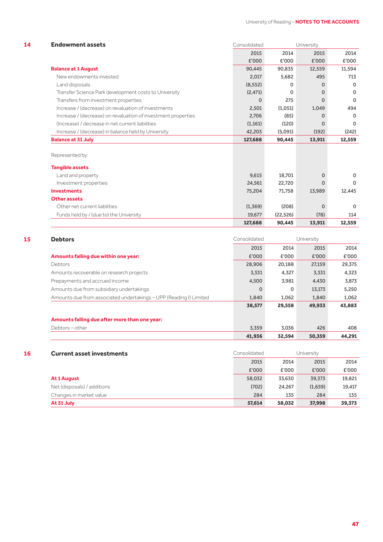| <b>Endowment assets</b>                                       | Consolidated |           | University  |          |
|---------------------------------------------------------------|--------------|-----------|-------------|----------|
|                                                               | 2015         | 2014      | 2015        | 2014     |
|                                                               | £'000        | £'000     | £'000       | £'000    |
| <b>Balance at 1 August</b>                                    | 90.445       | 90,835    | 12,559      | 11,594   |
| New endowments invested                                       | 2,017        | 5,682     | 495         | 713      |
| Land disposals                                                | (8, 552)     | $\Omega$  | $\Omega$    | $\Omega$ |
| Transfer Science Park development costs to University         | (2, 471)     | $\Omega$  | $\Omega$    | $\Omega$ |
| Transfers from investment properties                          | 0            | 275       | $\Omega$    | $\Omega$ |
| Increase / (decrease) on revaluation of investments           | 2,501        | (1,051)   | 1,049       | 494      |
| Increase / (decrease) on revaluation of investment properties | 2,706        | (85)      | $\Omega$    | $\Omega$ |
| (Increase) / decrease in net current liabilities              | (1, 161)     | (120)     | $\Omega$    | $\Omega$ |
| Increase / (decrease) in balance held by University           | 42,203       | (5,091)   | (192)       | (242)    |
| <b>Balance at 31 July</b>                                     | 127,688      | 90,445    | 13,911      | 12,559   |
|                                                               |              |           |             |          |
| Represented by:                                               |              |           |             |          |
| <b>Tangible assets</b>                                        |              |           |             |          |
| Land and property                                             | 9,615        | 18,701    | $\Omega$    | $\Omega$ |
| Investment properties                                         | 24,561       | 22,720    | $\mathbf 0$ | $\Omega$ |
| <b>Investments</b>                                            | 75,204       | 71,758    | 13,989      | 12,445   |
| <b>Other assets</b>                                           |              |           |             |          |
| Other net current liabilities                                 | (1, 369)     | (208)     | $\Omega$    | $\Omega$ |
| Funds held by / (due to) the University                       | 19,677       | (22, 526) | (78)        | 114      |
|                                                               | 127,688      | 90,445    | 13,911      | 12,559   |

| <b>Debtors</b>                                                     | Consolidated |          | University |        |
|--------------------------------------------------------------------|--------------|----------|------------|--------|
|                                                                    | 2015         | 2014     | 2015       | 2014   |
| Amounts falling due within one year:                               | £'000        | £'000    | £'000      | £'000  |
| <b>Debtors</b>                                                     | 28,906       | 20,188   | 27,159     | 29,375 |
| Amounts recoverable on research projects                           | 3,331        | 4,327    | 3,331      | 4,323  |
| Prepayments and accrued income                                     | 4,500        | 3,981    | 4,430      | 3,873  |
| Amounts due from subsidiary undertakings                           | $\Omega$     | $\Omega$ | 13,173     | 5,250  |
| Amounts due from associated undertakings - UPP (Reading I) Limited | 1,840        | 1,062    | 1.840      | 1,062  |
|                                                                    | 38,577       | 29,558   | 49,933     | 43,883 |
| Amounts falling due after more than one year:                      |              |          |            |        |
| Debtors-other                                                      | 3,359        | 3,036    | 426        | 408    |
|                                                                    | 41,936       | 32,594   | 50,359     | 44,291 |

|    | At 31 July                       | 57,614       | 58,032 | 37,998     | 39,373 |
|----|----------------------------------|--------------|--------|------------|--------|
|    | Changes in market value          | 284          | 135    | 284        | 135    |
|    | Net (disposals) / additions      | (702)        | 24.267 | (1,659)    | 19,417 |
|    | <b>At 1 August</b>               | 58,032       | 33,630 | 39,373     | 19,821 |
|    |                                  | £'000        | £'000  | £'000      | £'000  |
|    |                                  | 2015         | 2014   | 2015       | 2014   |
| 16 | <b>Current asset investments</b> | Consolidated |        | University |        |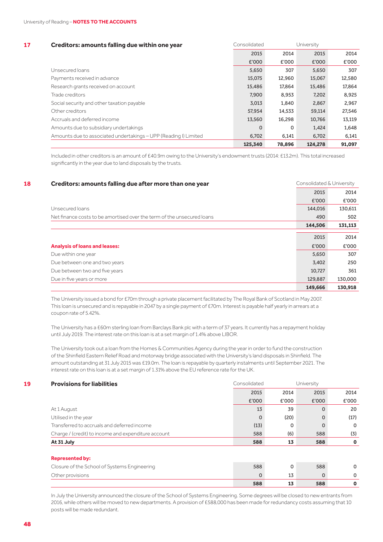#### **17 Creditors: amounts falling due within one year** Consolidated University

| Greaters, announce raining auc within one year                   |          |        |         |        |
|------------------------------------------------------------------|----------|--------|---------|--------|
|                                                                  | 2015     | 2014   | 2015    | 2014   |
|                                                                  | £'000    | £'000  | £'000   | £'000  |
| Unsecured loans                                                  | 5,650    | 307    | 5,650   | 307    |
| Payments received in advance                                     | 15,075   | 12,960 | 15,067  | 12,580 |
| Research grants received on account                              | 15,486   | 17,864 | 15.486  | 17,864 |
| Trade creditors                                                  | 7.900    | 8,953  | 7,202   | 8,925  |
| Social security and other taxation payable                       | 3,013    | 1,840  | 2,867   | 2,967  |
| Other creditors                                                  | 57,954   | 14.533 | 59,114  | 27,546 |
| Accruals and deferred income                                     | 13,560   | 16.298 | 10.766  | 13,119 |
| Amounts due to subsidiary undertakings                           | $\Omega$ | 0      | 1.424   | 1,648  |
| Amounts due to associated undertakings - UPP (Reading I) Limited | 6,702    | 6,141  | 6,702   | 6,141  |
|                                                                  | 125,340  | 78,896 | 124,278 | 91,097 |

Included in other creditors is an amount of £40.9m owing to the University's endowment trusts (2014: £13.2m). This total increased significantly in the year due to land disposals by the trusts.

| 18 | Creditors: amounts falling due after more than one year                | Consolidated & University |         |
|----|------------------------------------------------------------------------|---------------------------|---------|
|    |                                                                        | 2015                      | 2014    |
|    |                                                                        | £'000                     | £'000   |
|    | Unsecured loans                                                        | 144,016                   | 130,611 |
|    | Net finance costs to be amortised over the term of the unsecured loans | 490                       | 502     |
|    |                                                                        | 144,506                   | 131,113 |
|    |                                                                        | 2015                      | 2014    |
|    |                                                                        |                           |         |
|    | <b>Analysis of loans and leases:</b>                                   | £'000                     | £'000   |
|    | Due within one year                                                    | 5,650                     | 307     |
|    | Due between one and two years                                          | 3,402                     | 250     |
|    | Due between two and five years                                         | 10,727                    | 361     |
|    | Due in five years or more                                              | 129,887                   | 130,000 |
|    |                                                                        | 149,666                   | 130,918 |

The University issued a bond for £70m through a private placement facilitated by The Royal Bank of Scotland in May 2007. This loan is unsecured and is repayable in 2047 by a single payment of £70m. Interest is payable half yearly in arrears at a coupon rate of 5.42%.

The University has a £60m sterling loan from Barclays Bank plc with a term of 37 years. It currently has a repayment holiday until July 2019. The interest rate on this loan is at a set margin of 1.4% above LIBOR.

The University took out a loan from the Homes & Communities Agency during the year in order to fund the construction of the Shinfield Eastern Relief Road and motorway bridge associated with the University's land disposals in Shinfield. The amount outstanding at 31 July 2015 was £19.0m. The loan is repayable by quarterly instalments until September 2021. The interest rate on this loan is at a set margin of 1.31% above the EU reference rate for the UK.

#### **19 <b>Provisions for liabilities Consolidated** University 2015 2014 2015 2014 £'000 £'000 £'000 £'000 At 1 August 13 39 0 20 Utilised in the year **0** (20) 0 (17) Transferred to accruals and deferred income and the computation of the computation of the computation of the computation of the computation of the computation of the computation of the computation of the computation of the Charge / (credit) to income and expenditure account 588 (5) 588 (5) 588 (3) **At 31 July 588 13 588 0**

#### **Represented by:**

|                                              | 588 | 588 |  |
|----------------------------------------------|-----|-----|--|
| Other provisions                             |     |     |  |
| Closure of the School of Systems Engineering | 588 | 588 |  |

In July the University announced the closure of the School of Systems Engineering. Some degrees will be closed to new entrants from 2016, while others will be moved to new departments. A provision of £588,000 has been made for redundancy costs assuming that 10 posts will be made redundant.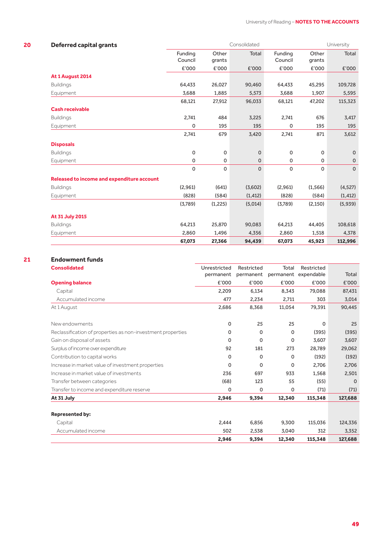| <b>Deferred capital grants</b>             |                    |                 | Consolidated |                    |                 | University   |
|--------------------------------------------|--------------------|-----------------|--------------|--------------------|-----------------|--------------|
|                                            | Funding<br>Council | Other<br>grants | <b>Total</b> | Funding<br>Council | Other<br>grants | Total        |
|                                            | £'000              | £'000           | £'000        | £'000              | £'000           | £'000        |
| At 1 August 2014                           |                    |                 |              |                    |                 |              |
| <b>Buildings</b>                           | 64,433             | 26,027          | 90,460       | 64,433             | 45,295          | 109,728      |
| Equipment                                  | 3,688              | 1,885           | 5,573        | 3,688              | 1,907           | 5,595        |
|                                            | 68,121             | 27,912          | 96,033       | 68,121             | 47,202          | 115,323      |
| <b>Cash receivable</b>                     |                    |                 |              |                    |                 |              |
| <b>Buildings</b>                           | 2,741              | 484             | 3,225        | 2,741              | 676             | 3,417        |
| Equipment                                  | 0                  | 195             | 195          | $\mathbf 0$        | 195             | 195          |
|                                            | 2,741              | 679             | 3,420        | 2,741              | 871             | 3,612        |
| <b>Disposals</b>                           |                    |                 |              |                    |                 |              |
| <b>Buildings</b>                           | $\mathsf{O}$       | $\mathbf 0$     | $\mathbf 0$  | $\mathbf 0$        | 0               | $\mathbf 0$  |
| Equipment                                  | 0                  | $\mathsf O$     | $\mathsf 0$  | $\mathsf O$        | 0               | 0            |
|                                            | 0                  | $\mathbf 0$     | $\mathbf 0$  | $\mathbf 0$        | $\mathbf 0$     | $\mathsf{O}$ |
| Released to income and expenditure account |                    |                 |              |                    |                 |              |
| <b>Buildings</b>                           | (2,961)            | (641)           | (3,602)      | (2,961)            | (1, 566)        | (4, 527)     |
| Equipment                                  | (828)              | (584)           | (1, 412)     | (828)              | (584)           | (1, 412)     |
|                                            | (3,789)            | (1,225)         | (5,014)      | (3,789)            | (2, 150)        | (5,939)      |
| At 31 July 2015                            |                    |                 |              |                    |                 |              |
| <b>Buildings</b>                           | 64,213             | 25,870          | 90,083       | 64,213             | 44,405          | 108,618      |
| Equipment                                  | 2,860              | 1,496           | 4,356        | 2,860              | 1,518           | 4,378        |
|                                            | 67,073             | 27,366          | 94,439       | 67,073             | 45,923          | 112,996      |

## **21 Endowment funds**

| <b>Consolidated</b>                                         | Unrestricted | Restricted  | Total     | Restricted |          |
|-------------------------------------------------------------|--------------|-------------|-----------|------------|----------|
|                                                             | permanent    | permanent   | permanent | expendable | Total    |
| <b>Opening balance</b>                                      | £'000        | £'000       | £'000     | £'000      | £'000    |
| Capital                                                     | 2.209        | 6,134       | 8,343     | 79,088     | 87,431   |
| Accumulated income                                          | 477          | 2,234       | 2,711     | 303        | 3,014    |
| At 1 August                                                 | 2,686        | 8,368       | 11,054    | 79,391     | 90,445   |
| New endowments                                              | 0            | 25          | 25        | 0          | 25       |
| Reclassification of properties as non-investment properties | 0            | $\mathbf 0$ | $\Omega$  | (395)      | (395)    |
| Gain on disposal of assets                                  | $\mathbf 0$  | $\mathbf 0$ | 0         | 3,607      | 3,607    |
| Surplus of income over expenditure                          | 92           | 181         | 273       | 28,789     | 29,062   |
| Contribution to capital works                               | 0            | 0           | 0         | (192)      | (192)    |
| Increase in market value of investment properties           | 0            | 0           | 0         | 2,706      | 2,706    |
| Increase in market value of investments                     | 236          | 697         | 933       | 1,568      | 2,501    |
| Transfer between categories                                 | (68)         | 123         | 55        | (55)       | $\Omega$ |
| Transfer to income and expenditure reserve                  | 0            | $\Omega$    | $\Omega$  | (71)       | (71)     |
| At 31 July                                                  | 2,946        | 9,394       | 12,340    | 115,348    | 127,688  |
|                                                             |              |             |           |            |          |
| <b>Represented by:</b>                                      |              |             |           |            |          |
| Capital                                                     | 2,444        | 6,856       | 9,300     | 115,036    | 124,336  |
| Accumulated income                                          | 502          | 2,538       | 3,040     | 312        | 3,352    |
|                                                             | 2,946        | 9,394       | 12,340    | 115,348    | 127,688  |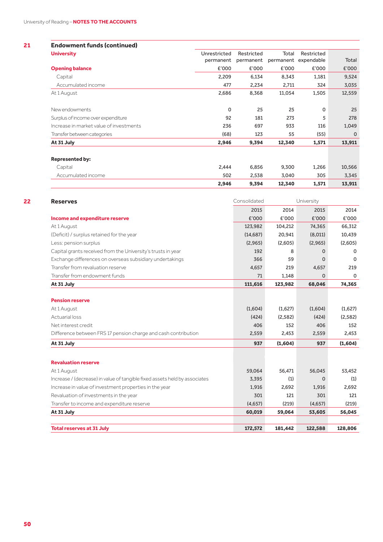| <b>Endowment funds (continued)</b>      |              |            |        |                      |             |
|-----------------------------------------|--------------|------------|--------|----------------------|-------------|
| <b>University</b>                       | Unrestricted | Restricted | Total  | Restricted           |             |
|                                         | permanent    | permanent  |        | permanent expendable | Total       |
| <b>Opening balance</b>                  | £'000        | £'000      | £'000  | £'000                | £'000       |
| Capital                                 | 2,209        | 6,134      | 8,343  | 1,181                | 9,524       |
| Accumulated income                      | 477          | 2,234      | 2,711  | 324                  | 3,035       |
| At 1 August                             | 2,686        | 8,368      | 11,054 | 1,505                | 12,559      |
| New endowments                          | $\mathbf 0$  | 25         | 25     | 0                    | 25          |
| Surplus of income over expenditure      | 92           | 181        | 273    | 5                    | 278         |
| Increase in market value of investments | 236          | 697        | 933    | 116                  | 1,049       |
| Transfer between categories             | (68)         | 123        | 55     | (55)                 | $\mathbf 0$ |
| At 31 July                              | 2,946        | 9,394      | 12,340 | 1,571                | 13,911      |
| <b>Represented by:</b>                  |              |            |        |                      |             |
| Capital                                 | 2,444        | 6,856      | 9,300  | 1,266                | 10,566      |
| Accumulated income                      | 502          | 2,538      | 3,040  | 305                  | 3,345       |
|                                         | 2,946        | 9,394      | 12,340 | 1,571                | 13,911      |

| <b>Reserves</b>                                                            | Consolidated |         | University |          |
|----------------------------------------------------------------------------|--------------|---------|------------|----------|
|                                                                            | 2015         | 2014    | 2015       | 2014     |
| Income and expenditure reserve                                             | £'000        | £'000   | £'000      | £'000    |
| At 1 August                                                                | 123,982      | 104,212 | 74,365     | 66,312   |
| (Deficit) / surplus retained for the year                                  | (14, 687)    | 20,941  | (8,011)    | 10,439   |
| Less: pension surplus                                                      | (2,965)      | (2,605) | (2,965)    | (2,605)  |
| Capital grants received from the University's trusts in year               | 192          | 8       | $\Omega$   | $\Omega$ |
| Exchange differences on overseas subsidiary undertakings                   | 366          | 59      | $\Omega$   | $\Omega$ |
| Transfer from revaluation reserve                                          | 4,657        | 219     | 4,657      | 219      |
| Transfer from endowment funds                                              | 71           | 1,148   | $\Omega$   | $\Omega$ |
| At 31 July                                                                 | 111,616      | 123,982 | 68,046     | 74,365   |
|                                                                            |              |         |            |          |
| <b>Pension reserve</b>                                                     |              |         |            |          |
| At 1 August                                                                | (1,604)      | (1,627) | (1,604)    | (1,627)  |
| Actuarial loss                                                             | (424)        | (2,582) | (424)      | (2,582)  |
| Net interest credit                                                        | 406          | 152     | 406        | 152      |
| Difference between FRS 17 pension charge and cash contribution             | 2,559        | 2,453   | 2,559      | 2,453    |
| At 31 July                                                                 | 937          | (1,604) | 937        | (1,604)  |
|                                                                            |              |         |            |          |
| <b>Revaluation reserve</b>                                                 |              |         |            |          |
| At 1 August                                                                | 59,064       | 56,471  | 56,045     | 53,452   |
| Increase / (decrease) in value of tangible fixed assets held by associates | 3,395        | (1)     | $\Omega$   | (1)      |
| Increase in value of investment properties in the year                     | 1,916        | 2,692   | 1,916      | 2,692    |
| Revaluation of investments in the year                                     | 301          | 121     | 301        | 121      |
| Transfer to income and expenditure reserve                                 | (4,657)      | (219)   | (4,657)    | (219)    |
| At 31 July                                                                 | 60,019       | 59,064  | 53,605     | 56,045   |
|                                                                            |              |         |            |          |
| <b>Total reserves at 31 July</b>                                           | 172,572      | 181,442 | 122,588    | 128,806  |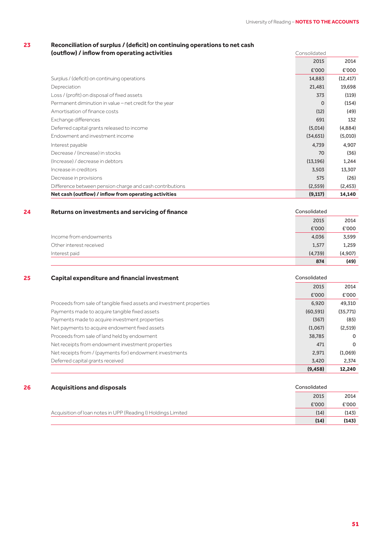## **23 Reconciliation of surplus / (deficit) on continuing operations to net cash**

| (outflow) / inflow from operating activities             | Consolidated |           |
|----------------------------------------------------------|--------------|-----------|
|                                                          | 2015         | 2014      |
|                                                          | £'000        | £'000     |
| Surplus / (deficit) on continuing operations             | 14,883       | (12, 417) |
| Depreciation                                             | 21,481       | 19,698    |
| Loss / (profit) on disposal of fixed assets              | 373          | (119)     |
| Permanent diminution in value - net credit for the year  | $\Omega$     | (154)     |
| Amortisation of finance costs                            | (12)         | (49)      |
| Exchange differences                                     | 691          | 132       |
| Deferred capital grants released to income               | (5,014)      | (4,884)   |
| Endowment and investment income                          | (34,651)     | (5,010)   |
| Interest payable                                         | 4,739        | 4,907     |
| Decrease / (increase) in stocks                          | 70           | (36)      |
| (Increase) / decrease in debtors                         | (13, 196)    | 1,244     |
| Increase in creditors                                    | 3,503        | 13,307    |
| Decrease in provisions                                   | 575          | (26)      |
| Difference between pension charge and cash contributions | (2, 559)     | (2, 453)  |
| Net cash (outflow) / inflow from operating activities    | (9, 117)     | 14,140    |

#### **24 Returns on investments and servicing of finance Consolidated** Consolidated

|                         | 874     | (49)    |
|-------------------------|---------|---------|
| Interest paid           | (4,739) | (4,907) |
| Other interest received | 1,577   | 1,259   |
| Income from endowments  | 4,036   | 3,599   |
|                         | £'000   | £'000   |
|                         | 2015    | 2014    |

| 25 | <b>Capital expenditure and financial investment</b>                   | Consolidated |           |
|----|-----------------------------------------------------------------------|--------------|-----------|
|    |                                                                       | 2015         | 2014      |
|    |                                                                       | £'000        | £'000     |
|    | Proceeds from sale of tangible fixed assets and investment properties | 6.920        | 49,310    |
|    | Payments made to acquire tangible fixed assets                        | (60, 591)    | (35, 771) |
|    | Payments made to acquire investment properties                        | (367)        | (85)      |
|    | Net payments to acquire endowment fixed assets                        | (1,067)      | (2,519)   |
|    | Proceeds from sale of land held by endowment                          | 38,785       | $\Omega$  |
|    | Net receipts from endowment investment properties                     | 471          | $\Omega$  |
|    | Net receipts from / (payments for) endowment investments              | 2,971        | (1,069)   |
|    | Deferred capital grants received                                      | 3,420        | 2,374     |
|    |                                                                       | (9, 458)     | 12.240    |

| 26 | <b>Acquisitions and disposals</b>                             | Consolidated |       |
|----|---------------------------------------------------------------|--------------|-------|
|    |                                                               | 2015         | 2014  |
|    |                                                               | £'000        | £'000 |
|    | Acquisition of Ioan notes in UPP (Reading I) Holdings Limited | (14)         | (143) |
|    |                                                               | (14)         | (143) |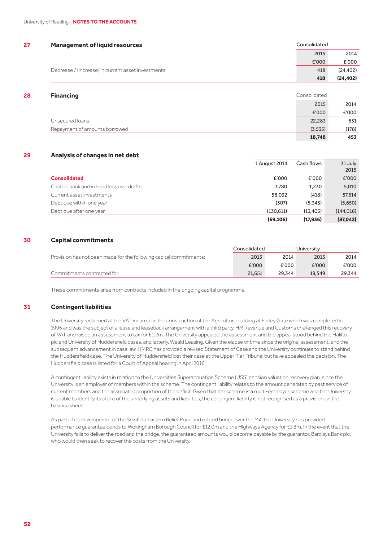| 27 | <b>Management of liquid resources</b>              | Consolidated |           |
|----|----------------------------------------------------|--------------|-----------|
|    |                                                    | 2015         | 2014      |
|    |                                                    | £'000        | £'000     |
|    | Decrease / (increase) in current asset investments | 418          | (24, 402) |
|    |                                                    | 418          | (24, 402) |
|    |                                                    |              |           |

| 28 | <b>Financing</b>              | Consolidated |       |
|----|-------------------------------|--------------|-------|
|    |                               | 2015         | 2014  |
|    |                               | £'000        | £'000 |
|    | Unsecured loans               | 22,283       | 631   |
|    | Repayment of amounts borrowed | (3, 535)     | (178) |
|    |                               | 18,748       | 453   |

#### **29 Analysis of changes in net debt**

|                                          | (69, 106)     | (17, 936)  | (87,042)        |
|------------------------------------------|---------------|------------|-----------------|
| Debt due after one year                  | (130.611)     | (13, 405)  | (144, 016)      |
| Debt due within one year                 | (307)         | (5.343)    | (5,650)         |
| Current asset investments                | 58.032        | (418)      | 57,614          |
| Cash at bank and in hand less overdrafts | 3,780         | 1,230      | 5,010           |
| <b>Consolidated</b>                      | £'000         | £'000      | £'000           |
|                                          | 1 August 2014 | Cash flows | 31 July<br>2015 |

#### **30 Capital commitments**

|                                                                    | Consolidated |        | University |        |  |
|--------------------------------------------------------------------|--------------|--------|------------|--------|--|
| Provision has not been made for the following capital commitments: | 2015         | 2014   | 2015       | 2014   |  |
|                                                                    | £'000        | £'000  | £'000      | £'000  |  |
| Commitments contracted for                                         | 21.651       | 29.344 | 19.549     | 29.344 |  |

These commitments arise from contracts included in the ongoing capital programme.

#### **31 Contingent liabilities**

The University reclaimed all the VAT incurred in the construction of the Agriculture building at Earley Gate which was completed in 1996 and was the subject of a lease and leaseback arrangement with a third party. HM Revenue and Customs challenged this recovery of VAT and raised an assessment to tax for £1.2m. The University appealed the assessment and the appeal stood behind the Halifax plc and University of Huddersfield cases, and latterly, Weald Leasing. Given the elapse of time since the original assessment, and the subsequent advancement in case law, HMRC has provided a revised Statement of Case and the University continues to stand behind the Huddersfield case. The University of Huddersfield lost their case at the Upper Tier Tribunal but have appealed the decision. The Huddersfield case is listed for a Court of Appeal hearing in April 2016.

A contingent liability exists in relation to the Universities Superannuation Scheme (USS) pension valuation recovery plan, since the University is an employer of members within the scheme. The contingent liability relates to the amount generated by past service of current members and the associated proportion of the deficit. Given that the scheme is a multi-employer scheme and the University is unable to identify its share of the underlying assets and liabilities, the contingent liability is not recognised as a provision on the balance sheet.

As part of its development of the Shinfield Eastern Relief Road and related bridge over the M4, the University has provided performance guarantee bonds to Wokingham Borough Council for £12.0m and the Highways Agency for £3.8m. In the event that the University fails to deliver the road and the bridge, the guaranteed amounts would become payable by the guarantor, Barclays Bank plc, who would then seek to recover the costs from the University.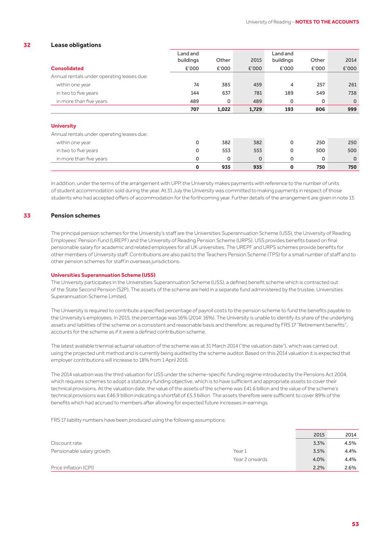#### **32 Lease obligations**

|                                                                 | Land and<br>buildings | Other | 2015        | Land and<br>buildings | Other | 2014        |
|-----------------------------------------------------------------|-----------------------|-------|-------------|-----------------------|-------|-------------|
| <b>Consolidated</b>                                             | £'000                 | £'000 | E'000       | £'000                 | £'000 | E'000       |
| Annual rentals under operating leases due:                      |                       |       |             |                       |       |             |
| within one year                                                 | 74                    | 385   | 459         | $\overline{4}$        | 257   | 261         |
| in two to five years                                            | 144                   | 637   | 781         | 189                   | 549   | 738         |
| in more than five years                                         | 489                   | 0     | 489         | 0                     | 0     | $\mathbf 0$ |
|                                                                 | 707                   | 1,022 | 1,729       | 193                   | 806   | 999         |
| <b>University</b><br>Annual rentals under operating leases due: |                       |       |             |                       |       |             |
| within one year                                                 | $\Omega$              | 382   | 382         | $\mathbf 0$           | 250   | 250         |
| in two to five years                                            | 0                     | 553   | 553         | 0                     | 500   | 500         |
| in more than five years                                         | 0                     | 0     | $\mathbf 0$ | 0                     | 0     | $\mathbf 0$ |
|                                                                 | 0                     | 935   | 935         | $\mathbf 0$           | 750   | 750         |

In addition, under the terms of the arrangement with UPP, the University makes payments with reference to the number of units of student accommodation sold during the year. At 31 July the University was committed to making payments in respect of those students who had accepted offers of accommodation for the forthcoming year. Further details of the arrangement are given in note 13.

#### **33 Pension schemes**

The principal pension schemes for the University's staff are the Universities Superannuation Scheme (USS), the University of Reading Employees' Pension Fund (UREPF) and the University of Reading Pension Scheme (URPS). USS provides benefits based on final pensionable salary for academic and related employees for all UK universities. The UREPF and URPS schemes provide benefits for other members of University staff. Contributions are also paid to the Teachers Pension Scheme (TPS) for a small number of staff and to other pension schemes for staff in overseas jurisdictions.

#### **Universities Superannuation Scheme (USS)**

The University participates in the Universities Superannuation Scheme (USS), a defined benefit scheme which is contracted out of the State Second Pension (S2P). The assets of the scheme are held in a separate fund administered by the trustee, Universities Superannuation Scheme Limited.

The University is required to contribute a specified percentage of payroll costs to the pension scheme to fund the benefits payable to the University's employees. In 2015, the percentage was 16% (2014: 16%). The University is unable to identify its share of the underlying assets and liabilities of the scheme on a consistent and reasonable basis and therefore, as required by FRS 17 "Retirement benefits", accounts for the scheme as if it were a defined contribution scheme.

The latest available triennial actuarial valuation of the scheme was at 31 March 2014 ("the valuation date"), which was carried out using the projected unit method and is currently being audited by the scheme auditor. Based on this 2014 valuation it is expected that employer contributions will increase to 18% from 1 April 2016.

The 2014 valuation was the third valuation for USS under the scheme-specific funding regime introduced by the Pensions Act 2004, which requires schemes to adopt a statutory funding objective, which is to have sufficient and appropriate assets to cover their technical provisions. At the valuation date, the value of the assets of the scheme was £41.6 billion and the value of the scheme's technical provisions was £46.9 billion indicating a shortfall of £5.3 billion. The assets therefore were sufficient to cover 89% of the benefits which had accrued to members after allowing for expected future increases in earnings.

FRS 17 liability numbers have been produced using the following assumptions:

|                           |                | 2015 | 2014 |
|---------------------------|----------------|------|------|
| Discount rate             |                | 3.3% | 4.5% |
| Pensionable salary growth | Year 1         | 3.5% | 4.4% |
|                           | Year 2 onwards | 4.0% | 4.4% |
| Price inflation (CPI)     |                | 2.2% | 2.6% |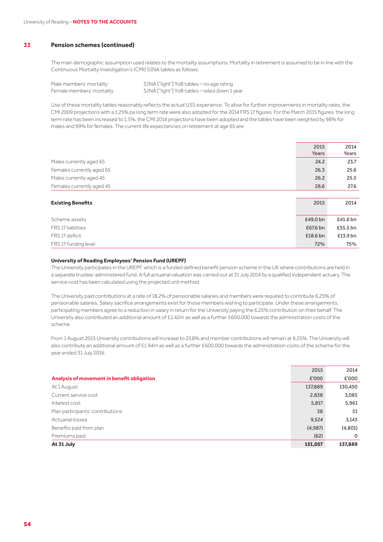The main demographic assumption used relates to the mortality assumptions. Mortality in retirement is assumed to be in line with the Continuous Mortality Investigation's (CMI) S1NA tables as follows:

Male members' mortality S1NA ["light"] YoB tables - no age rating Female members' mortality S1NA ["light"] YoB tables – rated down 1 year

Use of these mortality tables reasonably reflects the actual USS experience. To allow for further improvements in mortality rates, the CMI 2009 projections with a 1.25% pa long term rate were also adopted for the 2014 FRS 17 figures. For the March 2015 figures, the long term rate has been increased to 1.5%, the CMI 2014 projections have been adopted and the tables have been weighted by 98% for males and 99% for females. The current life expectancies on retirement at age 65 are:

|                           | 2015<br>Years | 2014<br>Years |
|---------------------------|---------------|---------------|
| Males currently aged 65   | 24.2          | 23.7          |
| Females currently aged 65 | 26.3          | 25.6          |
| Males currently aged 45   | 26.2          | 25.5          |
| Females currently aged 45 | 28.6          | 27.6          |
|                           |               |               |
| <b>Existing Benefits</b>  | 2015          | 2014          |
|                           |               |               |
| Scheme assets             | £49.0 bn      | £41.6 bn      |
| FRS 17 liabilities        | £67.6 bn      | £55.5 bn      |
| FRS 17 deficit            | £18.6 bn      | £13.9 bn      |
| FRS 17 funding level      | 72%           | 75%           |

#### **University of Reading Employees' Pension Fund (UREPF)**

The University participates in the UREPF, which is a funded defined benefit pension scheme in the UK where contributions are held in a separate trustee-administered fund. A full actuarial valuation was carried out at 31 July 2014 by a qualified independent actuary. The service cost has been calculated using the projected unit method.

The University paid contributions at a rate of 18.2% of pensionable salaries and members were required to contribute 6.25% of pensionable salaries. Salary sacrifice arrangements exist for those members wishing to participate. Under these arrangements, participating members agree to a reduction in salary in return for the University paying the 6.25% contribution on their behalf. The University also contributed an additional amount of £2.42m as well as a further £600,000 towards the administration costs of the scheme.

From 1 August 2015 University contributions will increase to 23.8% and member contributions will remain at 6.25%. The University will also contribute an additional amount of £1.94m as well as a further £600,000 towards the administration costs of the scheme for the year ended 31 July 2016.

|                                            | 2015    | 2014        |
|--------------------------------------------|---------|-------------|
| Analysis of movement in benefit obligation | £'000   | £'000       |
| At 1 August                                | 137,889 | 130,450     |
| Current service cost                       | 2.838   | 3,085       |
| Interest cost                              | 5,817   | 5,961       |
| Plan participants' contributions           | 38      | 51          |
| Actuarial losses                           | 9,524   | 3,143       |
| Benefits paid from plan                    | (4,987) | (4,801)     |
| Premiums paid                              | (62)    | $\mathbf 0$ |
| At 31 July                                 | 151,057 | 137,889     |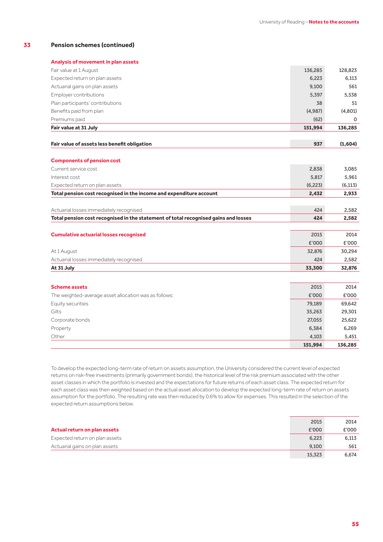|  |  |  | Analysis of movement in plan assets |  |
|--|--|--|-------------------------------------|--|
|  |  |  |                                     |  |

| Fair value at 1 August                                                              | 136,285  | 128,823  |
|-------------------------------------------------------------------------------------|----------|----------|
| Expected return on plan assets                                                      | 6,223    | 6,113    |
| Actuarial gains on plan assets                                                      | 9,100    | 561      |
| Employer contributions                                                              | 5,397    | 5,538    |
| Plan participants' contributions                                                    | 38       | 51       |
| Benefits paid from plan                                                             | (4,987)  | (4,801)  |
| Premiums paid                                                                       | (62)     | 0        |
| Fair value at 31 July                                                               | 151,994  | 136,285  |
|                                                                                     |          |          |
| Fair value of assets less benefit obligation                                        | 937      | (1,604)  |
| <b>Components of pension cost</b>                                                   |          |          |
| Current service cost                                                                | 2,838    | 3,085    |
| Interest cost                                                                       | 5,817    | 5,961    |
| Expected return on plan assets                                                      | (6, 223) | (6, 113) |
| Total pension cost recognised in the income and expenditure account                 | 2,432    | 2,933    |
|                                                                                     |          |          |
| Actuarial losses immediately recognised                                             | 424      | 2,582    |
| Total pension cost recognised in the statement of total recognised gains and losses | 424      | 2,582    |
|                                                                                     |          |          |
| <b>Cumulative actuarial losses recognised</b>                                       | 2015     | 2014     |
|                                                                                     | £'000    | £'000    |
| At 1 August                                                                         | 32,876   | 30,294   |
| Actuarial losses immediately recognised                                             | 424      | 2,582    |
| At 31 July                                                                          | 33,300   | 32,876   |
|                                                                                     |          |          |
| <b>Scheme assets</b>                                                                | 2015     | 2014     |
| The weighted-average asset allocation was as follows:                               | £'000    | £'000    |
| Equity securities                                                                   | 79,189   | 69,642   |
| Gilts                                                                               | 35,263   | 29,301   |
| Corporate bonds                                                                     | 27,055   | 25,622   |
| Property                                                                            | 6,384    | 6,269    |
| Other                                                                               | 4,103    | 5,451    |
|                                                                                     | 151,994  | 136,285  |

To develop the expected long-term rate of return on assets assumption, the University considered the current level of expected returns on risk-free investments (primarily government bonds), the historical level of the risk premium associated with the other asset classes in which the portfolio is invested and the expectations for future returns of each asset class. The expected return for each asset class was then weighted based on the actual asset allocation to develop the expected long-term rate of return on assets assumption for the portfolio. The resulting rate was then reduced by 0.6% to allow for expenses. This resulted in the selection of the expected return assumptions below.

|                                | 2015   | 2014  |
|--------------------------------|--------|-------|
| Actual return on plan assets   | £'000  | £'000 |
| Expected return on plan assets | 6,223  | 6,113 |
| Actuarial gains on plan assets | 9,100  | 561   |
|                                | 15,323 | 6.674 |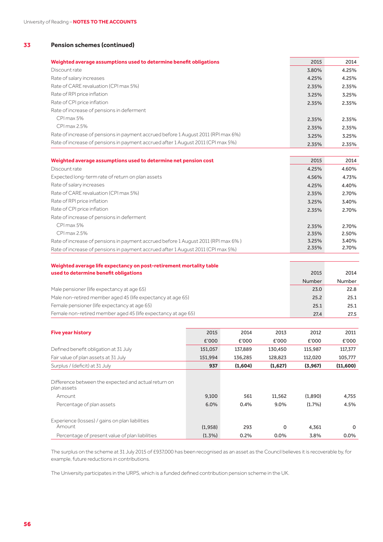| Weighted average assumptions used to determine benefit obligations                | 2015  | 2014  |
|-----------------------------------------------------------------------------------|-------|-------|
| Discount rate                                                                     | 3.80% | 4.25% |
| Rate of salary increases                                                          | 4.25% | 4.25% |
| Rate of CARE revaluation (CPI max 5%)                                             | 2.35% | 2.35% |
| Rate of RPI price inflation                                                       | 3.25% | 3.25% |
| Rate of CPI price inflation                                                       | 2.35% | 2.35% |
| Rate of increase of pensions in deferment                                         |       |       |
| CPI max 5%                                                                        | 2.35% | 2.35% |
| CPI max 2.5%                                                                      | 2.35% | 2.35% |
| Rate of increase of pensions in payment accrued before 1 August 2011 (RPI max 6%) | 3.25% | 3.25% |
| Rate of increase of pensions in payment accrued after 1 August 2011 (CPI max 5%)  | 2.35% | 2.35% |
|                                                                                   |       |       |
| Weighted average assumptions used to determine net pension cost                   | 2015  | 2014  |
| Discount rate                                                                     | 4.25% | 4.60% |
| Expected long-term rate of return on plan assets                                  | 4.56% | 4.73% |
| Rate of salary increases                                                          | 4.25% | 4.40% |
| <b>DI COADE</b> I II IODI FAIL                                                    |       |       |

| Rate of CARE revaluation (CPI max 5%)                                             | 2.35% | 2.70% |
|-----------------------------------------------------------------------------------|-------|-------|
| Rate of RPI price inflation                                                       | 3.25% | 3.40% |
| Rate of CPI price inflation                                                       | 2.35% | 2.70% |
| Rate of increase of pensions in deferment                                         |       |       |
| CPI max 5%                                                                        | 2.35% | 2.70% |
| CPI max 2.5%                                                                      | 2.35% | 2.50% |
| Rate of increase of pensions in payment accrued before 1 August 2011 (RPI max 6%) | 3.25% | 3.40% |
| Rate of increase of pensions in payment accrued after 1 August 2011 (CPI max 5%)  | 2.35% | 2.70% |

| Weighted average life expectancy on post-retirement mortality table |        |        |
|---------------------------------------------------------------------|--------|--------|
| used to determine benefit obligations                               | 2015   | 2014   |
|                                                                     | Number | Number |
| Male pensioner (life expectancy at age 65)                          | 23.0   | 22.8   |
| Male non-retired member aged 45 (life expectancy at age 65)         | 25.2   | 25.1   |
| Female pensioner (life expectancy at age 65)                        | 25.1   | 25.1   |
| Female non-retired member aged 45 (life expectancy at age 65)       | 27.4   | 27.5   |

| <b>Five year history</b>                                                                                   | 2015          | 2014        | 2013              | 2012              | 2011          |
|------------------------------------------------------------------------------------------------------------|---------------|-------------|-------------------|-------------------|---------------|
|                                                                                                            | E'000         | £'000       | £'000             | £'000             | £'000         |
| Defined benefit obligation at 31 July                                                                      | 151,057       | 137,889     | 130.450           | 115,987           | 117,377       |
| Fair value of plan assets at 31 July                                                                       | 151.994       | 136.285     | 128.823           | 112.020           | 105,777       |
| Surplus / (deficit) at 31 July                                                                             | 937           | (1,604)     | (1,627)           | (3,967)           | (11,600)      |
| Difference between the expected and actual return on<br>plan assets<br>Amount<br>Percentage of plan assets | 9,100<br>6.0% | 561<br>0.4% | 11,562<br>$9.0\%$ | (1.890)<br>(1.7%) | 4,755<br>4.5% |
| Experience (losses) / gains on plan liabilities<br>Amount                                                  | (1,958)       | 293         | $\Omega$          | 4,361             | 0<br>0.0%     |
| Percentage of present value of plan liabilities                                                            | $(1.3\%)$     | 0.2%        | $0.0\%$           | 3.8%              |               |

The surplus on the scheme at 31 July 2015 of £937,000 has been recognised as an asset as the Council believes it is recoverable by, for example, future reductions in contributions.

The University participates in the URPS, which is a funded defined contribution pension scheme in the UK.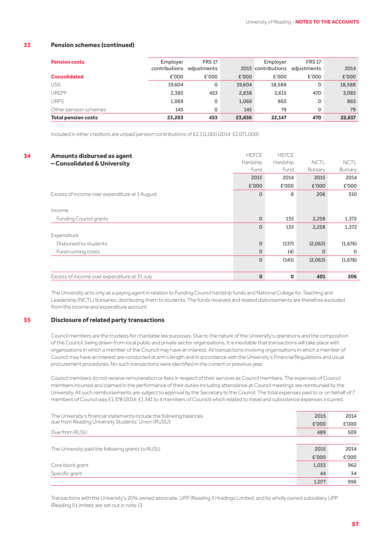| <b>Pension costs</b>       | Employer                  | <b>FRS 17</b> |        | Employer           | <b>FRS 17</b> |        |
|----------------------------|---------------------------|---------------|--------|--------------------|---------------|--------|
|                            | contributions adjustments |               |        | 2015 contributions | adjustments   | 2014   |
| <b>Consolidated</b>        | £'000                     | £'000         | £'000  | £'000              | £'000         | £'000  |
| <b>USS</b>                 | 19.604                    | 0             | 19.604 | 18,588             | 0             | 18,588 |
| <b>UREPF</b>               | 2,385                     | 453           | 2,838  | 2.615              | 470           | 3,085  |
| <b>URPS</b>                | 1,069                     | 0             | 1,069  | 865                | 0             | 865    |
| Other pension schemes      | 145                       | 0             | 145    | 79                 | 0             | 79     |
| <b>Total pension costs</b> | 23.203                    | 453           | 23,656 | 22.147             | 470           | 22,617 |

Included in other creditors are unpaid pension contributions of £2,111,000 (2014: £2,071,000).

| 34 | Amounts disbursed as agent                    | <b>HEFCE</b> | <b>HEFCE</b> |             |             |
|----|-----------------------------------------------|--------------|--------------|-------------|-------------|
|    | - Consolidated & University                   | Hardship     | Hardship     | <b>NCTL</b> | <b>NCTL</b> |
|    |                                               | Fund         | Fund         | Bursary     | Bursary     |
|    |                                               | 2015         | 2014         | 2015        | 2014        |
|    |                                               | £'000        | £'000        | £'000       | £'000       |
|    | Excess of income over expenditure at 1 August | $\Omega$     | 8            | 206         | 510         |
|    |                                               |              |              |             |             |
|    | Income                                        |              |              |             |             |
|    | <b>Funding Council grants</b>                 | $\Omega$     | 133          | 2,258       | 1,372       |
|    |                                               | $\Omega$     | 133          | 2,258       | 1,372       |
|    | Expenditure                                   |              |              |             |             |
|    | Disbursed to students                         | $\Omega$     | (137)        | (2,063)     | (1,676)     |
|    | Fund running costs                            | $\Omega$     | (4)          | 0           | $\mathbf 0$ |
|    |                                               | $\Omega$     | (141)        | (2,063)     | (1,676)     |
|    |                                               |              |              |             |             |
|    | Excess of income over expenditure at 31 July  | $\mathbf{0}$ | $\mathbf 0$  | 401         | 206         |

The University acts only as a paying agent in relation to Funding Council hardship funds and National College for Teaching and Leadership (NCTL) bursaries, distributing them to students. The funds received and related disbursements are therefore excluded from the income and expenditure account.

#### **35 Disclosure of related party transactions**

Council members are the trustees for charitable law purposes. Due to the nature of the University's operations and the composition of the Council, being drawn from local public and private sector organisations, it is inevitable that transactions will take place with organisations in which a member of the Council may have an interest. All transactions involving organisations in which a member of Council may have an interest are conducted at arm's length and in accordance with the University's Financial Regulations and usual procurement procedures. No such transactions were identified in the current or previous year.

Council members do not receive remuneration or fees in respect of their services as Council members. The expenses of Council members incurred and claimed in the performance of their duties including attendance at Council meetings are reimbursed by the University. All such reimbursements are subject to approval by the Secretary to the Council. The total expenses paid to or on behalf of 7 members of Council was £1,378 (2014: £1,341 to 4 members of Council) which related to travel and subsistence expenses incurred.

| The University's financial statements include the following balances | 2015  | 2014  |
|----------------------------------------------------------------------|-------|-------|
| due from Reading University Students' Union (RUSU):                  | £'000 | £'000 |
| Due from RUSU                                                        | 489   | 509   |
|                                                                      |       |       |
| The University paid the following grants to RUSU                     | 2015  | 2014  |
|                                                                      | £'000 | £'000 |
| Core block grant                                                     | 1,033 | 962   |
| Specific grant                                                       | 44    | 34    |
|                                                                      | 1,077 | 996   |

Transactions with the University's 20% owned associate, UPP (Reading I) Holdings Limited, and its wholly owned subsidiary, UPP (Reading I) Limited, are set out in note 13.